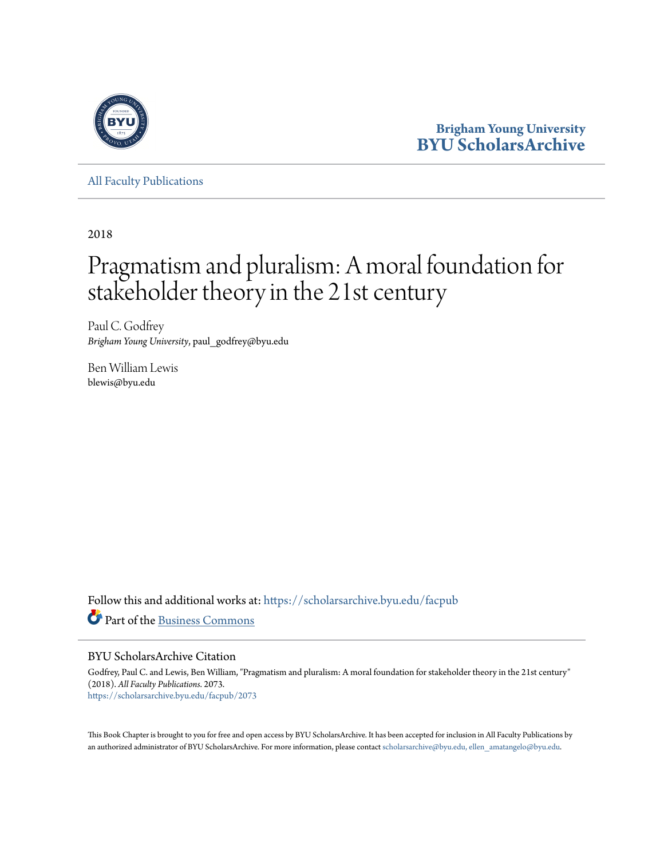

# **Brigham Young University [BYU ScholarsArchive](https://scholarsarchive.byu.edu?utm_source=scholarsarchive.byu.edu%2Ffacpub%2F2073&utm_medium=PDF&utm_campaign=PDFCoverPages)**

[All Faculty Publications](https://scholarsarchive.byu.edu/facpub?utm_source=scholarsarchive.byu.edu%2Ffacpub%2F2073&utm_medium=PDF&utm_campaign=PDFCoverPages)

2018

# Pragmatism and pluralism: A moral foundation for stakeholder theory in the 21st century

Paul C. Godfrey *Brigham Young University*, paul\_godfrey@byu.edu

Ben William Lewis blewis@byu.edu

Follow this and additional works at: [https://scholarsarchive.byu.edu/facpub](https://scholarsarchive.byu.edu/facpub?utm_source=scholarsarchive.byu.edu%2Ffacpub%2F2073&utm_medium=PDF&utm_campaign=PDFCoverPages) Part of the [Business Commons](http://network.bepress.com/hgg/discipline/622?utm_source=scholarsarchive.byu.edu%2Ffacpub%2F2073&utm_medium=PDF&utm_campaign=PDFCoverPages)

#### BYU ScholarsArchive Citation

Godfrey, Paul C. and Lewis, Ben William, "Pragmatism and pluralism: A moral foundation for stakeholder theory in the 21st century" (2018). *All Faculty Publications*. 2073. [https://scholarsarchive.byu.edu/facpub/2073](https://scholarsarchive.byu.edu/facpub/2073?utm_source=scholarsarchive.byu.edu%2Ffacpub%2F2073&utm_medium=PDF&utm_campaign=PDFCoverPages)

This Book Chapter is brought to you for free and open access by BYU ScholarsArchive. It has been accepted for inclusion in All Faculty Publications by an authorized administrator of BYU ScholarsArchive. For more information, please contact [scholarsarchive@byu.edu, ellen\\_amatangelo@byu.edu](mailto:scholarsarchive@byu.edu,%20ellen_amatangelo@byu.edu).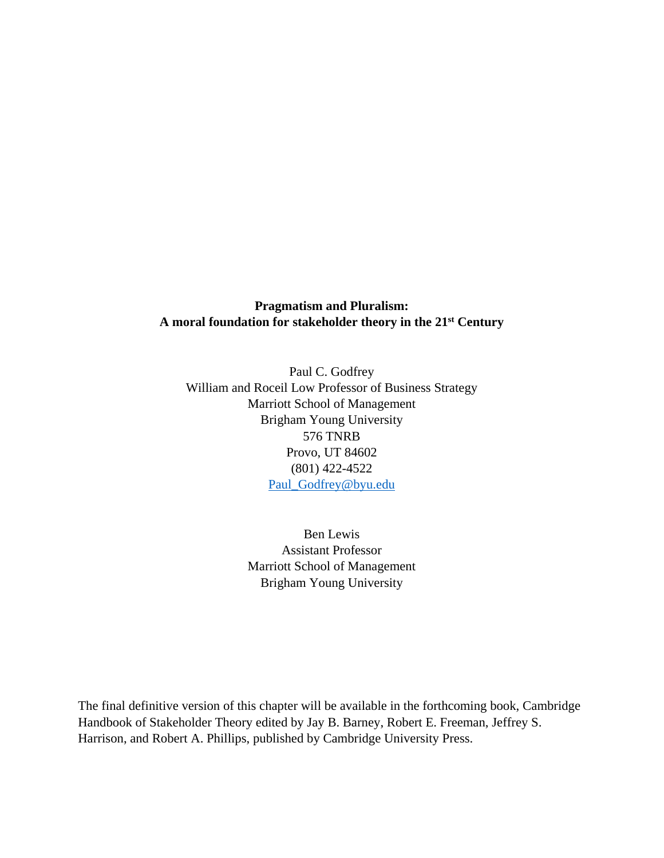# **Pragmatism and Pluralism: A moral foundation for stakeholder theory in the 21st Century**

Paul C. Godfrey William and Roceil Low Professor of Business Strategy Marriott School of Management Brigham Young University 576 TNRB Provo, UT 84602 (801) 422-4522 [Paul\\_Godfrey@byu.edu](mailto:Paul_Godfrey@byu.edu)

> Ben Lewis Assistant Professor Marriott School of Management Brigham Young University

The final definitive version of this chapter will be available in the forthcoming book, Cambridge Handbook of Stakeholder Theory edited by Jay B. Barney, Robert E. Freeman, Jeffrey S. Harrison, and Robert A. Phillips, published by Cambridge University Press.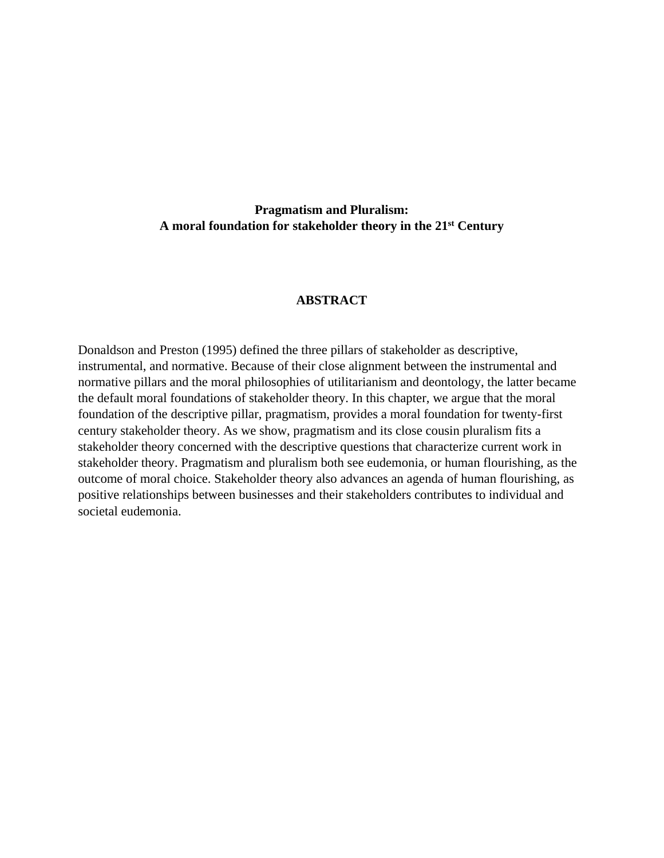# **Pragmatism and Pluralism: A moral foundation for stakeholder theory in the 21st Century**

## **ABSTRACT**

Donaldson and Preston (1995) defined the three pillars of stakeholder as descriptive, instrumental, and normative. Because of their close alignment between the instrumental and normative pillars and the moral philosophies of utilitarianism and deontology, the latter became the default moral foundations of stakeholder theory. In this chapter, we argue that the moral foundation of the descriptive pillar, pragmatism, provides a moral foundation for twenty-first century stakeholder theory. As we show, pragmatism and its close cousin pluralism fits a stakeholder theory concerned with the descriptive questions that characterize current work in stakeholder theory. Pragmatism and pluralism both see eudemonia, or human flourishing, as the outcome of moral choice. Stakeholder theory also advances an agenda of human flourishing, as positive relationships between businesses and their stakeholders contributes to individual and societal eudemonia.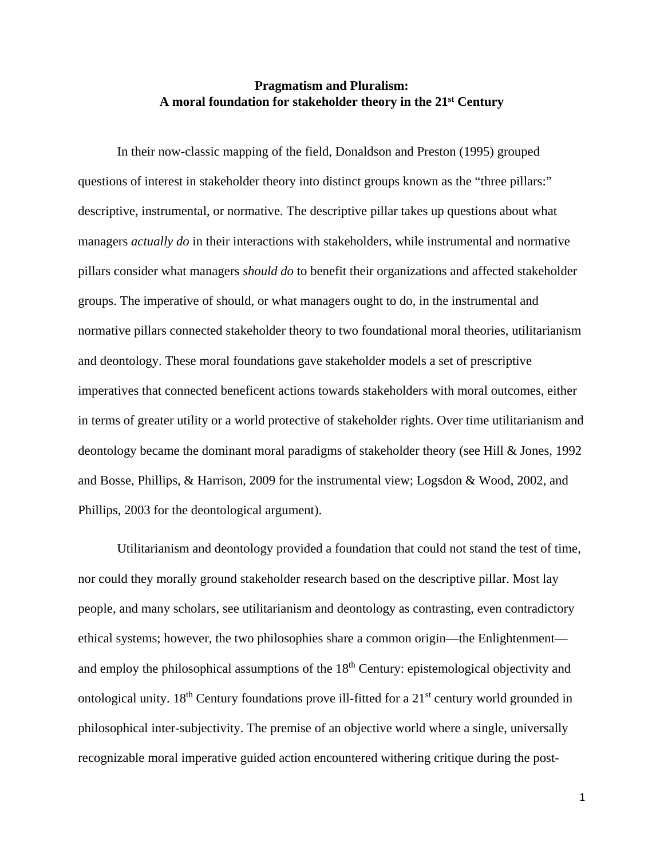## **Pragmatism and Pluralism: A moral foundation for stakeholder theory in the 21st Century**

In their now-classic mapping of the field, Donaldson and Preston (1995) grouped questions of interest in stakeholder theory into distinct groups known as the "three pillars:" descriptive, instrumental, or normative. The descriptive pillar takes up questions about what managers *actually do* in their interactions with stakeholders, while instrumental and normative pillars consider what managers *should do* to benefit their organizations and affected stakeholder groups. The imperative of should, or what managers ought to do, in the instrumental and normative pillars connected stakeholder theory to two foundational moral theories, utilitarianism and deontology. These moral foundations gave stakeholder models a set of prescriptive imperatives that connected beneficent actions towards stakeholders with moral outcomes, either in terms of greater utility or a world protective of stakeholder rights. Over time utilitarianism and deontology became the dominant moral paradigms of stakeholder theory (see Hill & Jones, 1992 and Bosse, Phillips, & Harrison, 2009 for the instrumental view; Logsdon & Wood, 2002, and Phillips, 2003 for the deontological argument).

Utilitarianism and deontology provided a foundation that could not stand the test of time, nor could they morally ground stakeholder research based on the descriptive pillar. Most lay people, and many scholars, see utilitarianism and deontology as contrasting, even contradictory ethical systems; however, the two philosophies share a common origin—the Enlightenment and employ the philosophical assumptions of the 18<sup>th</sup> Century: epistemological objectivity and ontological unity. 18<sup>th</sup> Century foundations prove ill-fitted for a 21<sup>st</sup> century world grounded in philosophical inter-subjectivity. The premise of an objective world where a single, universally recognizable moral imperative guided action encountered withering critique during the post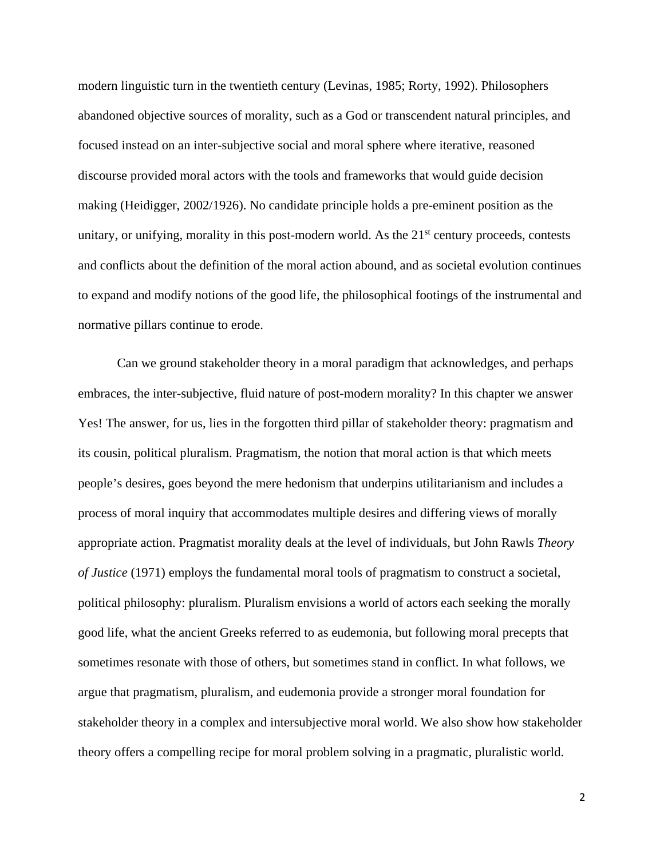modern linguistic turn in the twentieth century (Levinas, 1985; Rorty, 1992). Philosophers abandoned objective sources of morality, such as a God or transcendent natural principles, and focused instead on an inter-subjective social and moral sphere where iterative, reasoned discourse provided moral actors with the tools and frameworks that would guide decision making (Heidigger, 2002/1926). No candidate principle holds a pre-eminent position as the unitary, or unifying, morality in this post-modern world. As the  $21<sup>st</sup>$  century proceeds, contests and conflicts about the definition of the moral action abound, and as societal evolution continues to expand and modify notions of the good life, the philosophical footings of the instrumental and normative pillars continue to erode.

Can we ground stakeholder theory in a moral paradigm that acknowledges, and perhaps embraces, the inter-subjective, fluid nature of post-modern morality? In this chapter we answer Yes! The answer, for us, lies in the forgotten third pillar of stakeholder theory: pragmatism and its cousin, political pluralism. Pragmatism, the notion that moral action is that which meets people's desires, goes beyond the mere hedonism that underpins utilitarianism and includes a process of moral inquiry that accommodates multiple desires and differing views of morally appropriate action. Pragmatist morality deals at the level of individuals, but John Rawls *Theory of Justice* (1971) employs the fundamental moral tools of pragmatism to construct a societal, political philosophy: pluralism. Pluralism envisions a world of actors each seeking the morally good life, what the ancient Greeks referred to as eudemonia, but following moral precepts that sometimes resonate with those of others, but sometimes stand in conflict. In what follows, we argue that pragmatism, pluralism, and eudemonia provide a stronger moral foundation for stakeholder theory in a complex and intersubjective moral world. We also show how stakeholder theory offers a compelling recipe for moral problem solving in a pragmatic, pluralistic world.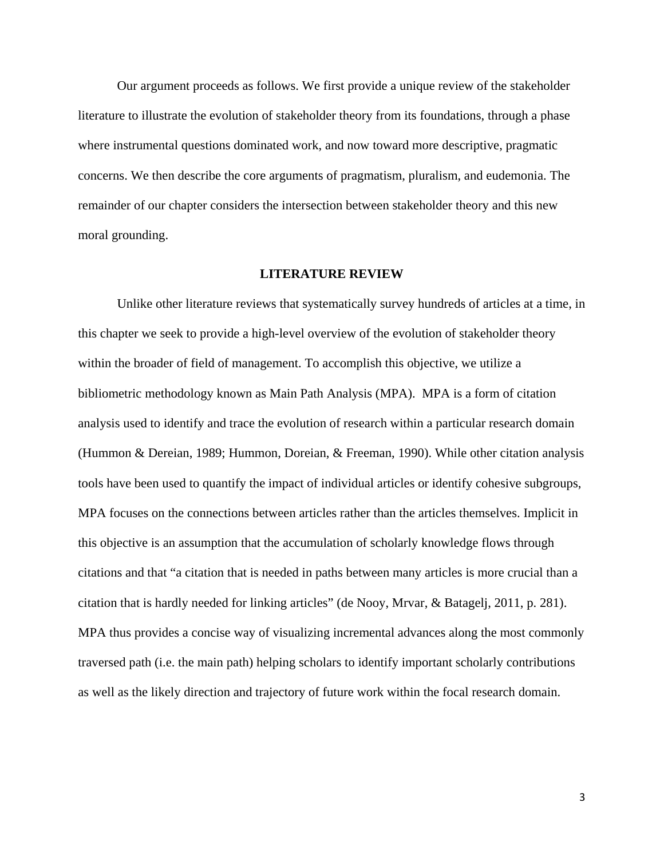Our argument proceeds as follows. We first provide a unique review of the stakeholder literature to illustrate the evolution of stakeholder theory from its foundations, through a phase where instrumental questions dominated work, and now toward more descriptive, pragmatic concerns. We then describe the core arguments of pragmatism, pluralism, and eudemonia. The remainder of our chapter considers the intersection between stakeholder theory and this new moral grounding.

#### **LITERATURE REVIEW**

Unlike other literature reviews that systematically survey hundreds of articles at a time, in this chapter we seek to provide a high-level overview of the evolution of stakeholder theory within the broader of field of management. To accomplish this objective, we utilize a bibliometric methodology known as Main Path Analysis (MPA). MPA is a form of citation analysis used to identify and trace the evolution of research within a particular research domain (Hummon & Dereian, 1989; Hummon, Doreian, & Freeman, 1990). While other citation analysis tools have been used to quantify the impact of individual articles or identify cohesive subgroups, MPA focuses on the connections between articles rather than the articles themselves. Implicit in this objective is an assumption that the accumulation of scholarly knowledge flows through citations and that "a citation that is needed in paths between many articles is more crucial than a citation that is hardly needed for linking articles" (de Nooy, Mrvar, & Batagelj, 2011, p. 281). MPA thus provides a concise way of visualizing incremental advances along the most commonly traversed path (i.e. the main path) helping scholars to identify important scholarly contributions as well as the likely direction and trajectory of future work within the focal research domain.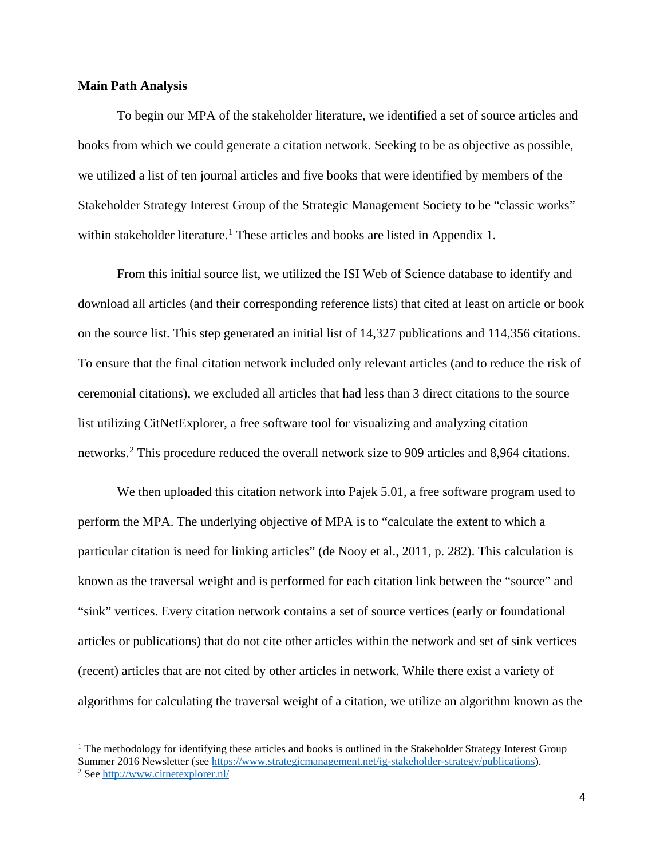#### **Main Path Analysis**

 $\overline{a}$ 

To begin our MPA of the stakeholder literature, we identified a set of source articles and books from which we could generate a citation network. Seeking to be as objective as possible, we utilized a list of ten journal articles and five books that were identified by members of the Stakeholder Strategy Interest Group of the Strategic Management Society to be "classic works" within stakeholder literature.<sup>[1](#page-6-0)</sup> These articles and books are listed in Appendix 1.

From this initial source list, we utilized the ISI Web of Science database to identify and download all articles (and their corresponding reference lists) that cited at least on article or book on the source list. This step generated an initial list of 14,327 publications and 114,356 citations. To ensure that the final citation network included only relevant articles (and to reduce the risk of ceremonial citations), we excluded all articles that had less than 3 direct citations to the source list utilizing CitNetExplorer, a free software tool for visualizing and analyzing citation networks.[2](#page-6-1) This procedure reduced the overall network size to 909 articles and 8,964 citations.

We then uploaded this citation network into Pajek 5.01, a free software program used to perform the MPA. The underlying objective of MPA is to "calculate the extent to which a particular citation is need for linking articles" (de Nooy et al., 2011, p. 282). This calculation is known as the traversal weight and is performed for each citation link between the "source" and "sink" vertices. Every citation network contains a set of source vertices (early or foundational articles or publications) that do not cite other articles within the network and set of sink vertices (recent) articles that are not cited by other articles in network. While there exist a variety of algorithms for calculating the traversal weight of a citation, we utilize an algorithm known as the

<span id="page-6-1"></span><span id="page-6-0"></span> $1$  The methodology for identifying these articles and books is outlined in the Stakeholder Strategy Interest Group Summer 2016 Newsletter (see [https://www.strategicmanagement.net/ig-stakeholder-strategy/publications\)](https://www.strategicmanagement.net/ig-stakeholder-strategy/publications).<br><sup>2</sup> Se[e http://www.citnetexplorer.nl/](http://www.citnetexplorer.nl/)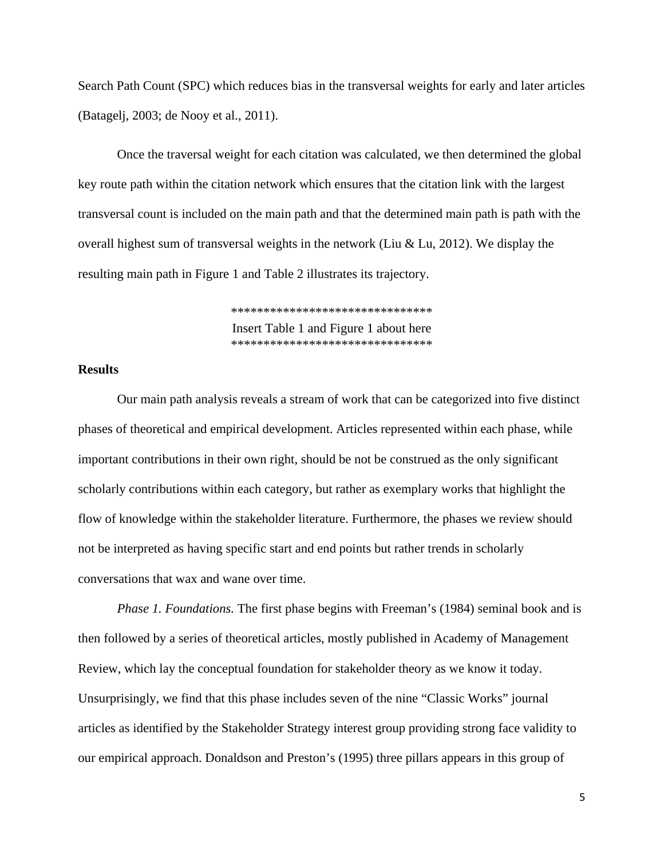Search Path Count (SPC) which reduces bias in the transversal weights for early and later articles (Batagelj, 2003; de Nooy et al., 2011).

Once the traversal weight for each citation was calculated, we then determined the global key route path within the citation network which ensures that the citation link with the largest transversal count is included on the main path and that the determined main path is path with the overall highest sum of transversal weights in the network (Liu & Lu, 2012). We display the resulting main path in Figure 1 and Table 2 illustrates its trajectory.

> \*\*\*\*\*\*\*\*\*\*\*\*\*\*\*\*\*\*\*\*\*\*\*\*\*\*\*\*\*\*\* Insert Table 1 and Figure 1 about here \*\*\*\*\*\*\*\*\*\*\*\*\*\*\*\*\*\*\*\*\*\*\*\*\*\*\*\*\*\*\*

#### **Results**

Our main path analysis reveals a stream of work that can be categorized into five distinct phases of theoretical and empirical development. Articles represented within each phase, while important contributions in their own right, should be not be construed as the only significant scholarly contributions within each category, but rather as exemplary works that highlight the flow of knowledge within the stakeholder literature. Furthermore, the phases we review should not be interpreted as having specific start and end points but rather trends in scholarly conversations that wax and wane over time.

*Phase 1. Foundations.* The first phase begins with Freeman's (1984) seminal book and is then followed by a series of theoretical articles, mostly published in Academy of Management Review, which lay the conceptual foundation for stakeholder theory as we know it today. Unsurprisingly, we find that this phase includes seven of the nine "Classic Works" journal articles as identified by the Stakeholder Strategy interest group providing strong face validity to our empirical approach. Donaldson and Preston's (1995) three pillars appears in this group of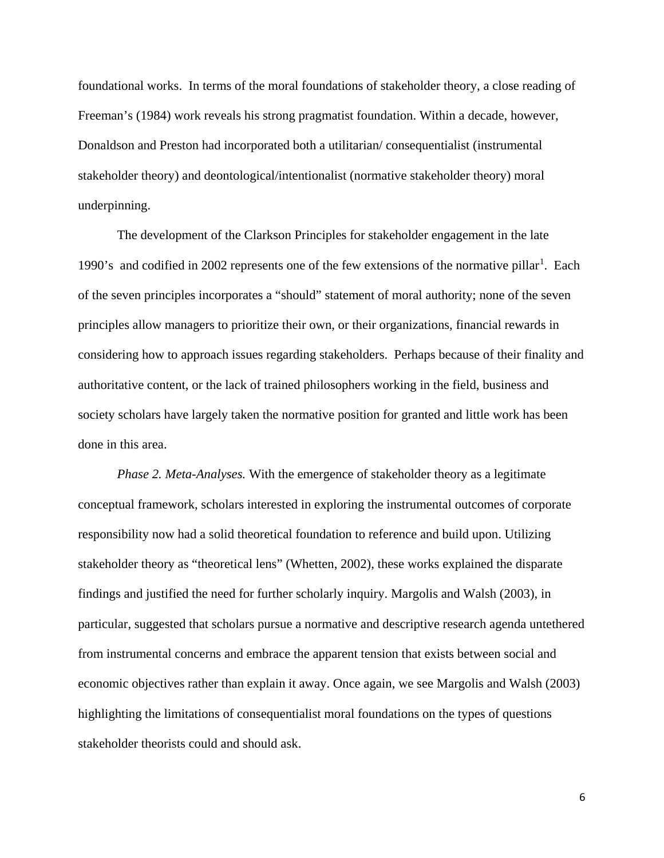foundational works. In terms of the moral foundations of stakeholder theory, a close reading of Freeman's (1984) work reveals his strong pragmatist foundation. Within a decade, however, Donaldson and Preston had incorporated both a utilitarian/ consequentialist (instrumental stakeholder theory) and deontological/intentionalist (normative stakeholder theory) moral underpinning.

The development of the Clarkson Principles for stakeholder engagement in the late [1](#page-35-0)990's and codified in 2002 represents one of the few extensions of the normative pillar<sup>1</sup>. Each of the seven principles incorporates a "should" statement of moral authority; none of the seven principles allow managers to prioritize their own, or their organizations, financial rewards in considering how to approach issues regarding stakeholders. Perhaps because of their finality and authoritative content, or the lack of trained philosophers working in the field, business and society scholars have largely taken the normative position for granted and little work has been done in this area.

*Phase 2. Meta-Analyses.* With the emergence of stakeholder theory as a legitimate conceptual framework, scholars interested in exploring the instrumental outcomes of corporate responsibility now had a solid theoretical foundation to reference and build upon. Utilizing stakeholder theory as "theoretical lens" (Whetten, 2002), these works explained the disparate findings and justified the need for further scholarly inquiry. Margolis and Walsh (2003), in particular, suggested that scholars pursue a normative and descriptive research agenda untethered from instrumental concerns and embrace the apparent tension that exists between social and economic objectives rather than explain it away. Once again, we see Margolis and Walsh (2003) highlighting the limitations of consequentialist moral foundations on the types of questions stakeholder theorists could and should ask.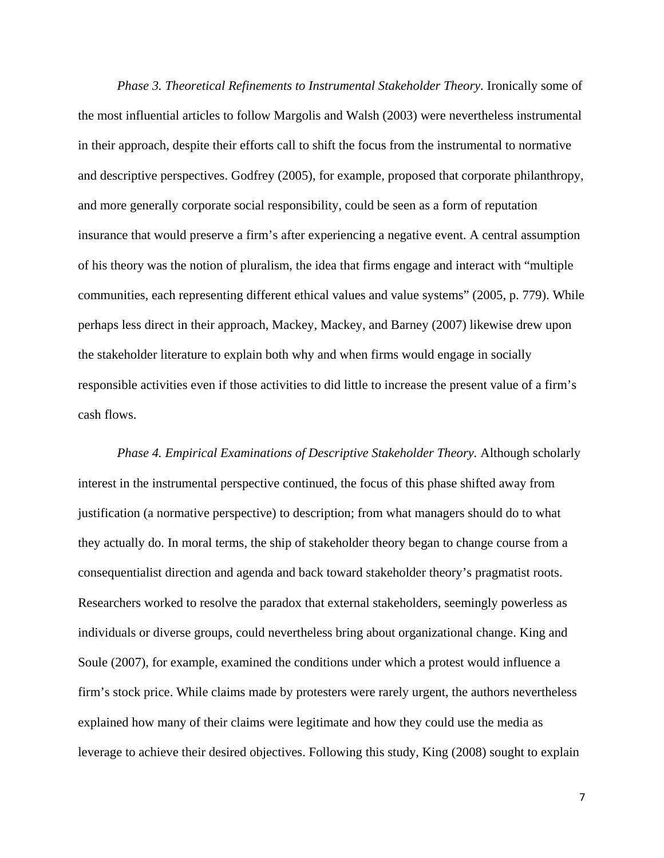*Phase 3. Theoretical Refinements to Instrumental Stakeholder Theory.* Ironically some of the most influential articles to follow Margolis and Walsh (2003) were nevertheless instrumental in their approach, despite their efforts call to shift the focus from the instrumental to normative and descriptive perspectives. Godfrey (2005), for example, proposed that corporate philanthropy, and more generally corporate social responsibility, could be seen as a form of reputation insurance that would preserve a firm's after experiencing a negative event. A central assumption of his theory was the notion of pluralism, the idea that firms engage and interact with "multiple communities, each representing different ethical values and value systems" (2005, p. 779). While perhaps less direct in their approach, Mackey, Mackey, and Barney (2007) likewise drew upon the stakeholder literature to explain both why and when firms would engage in socially responsible activities even if those activities to did little to increase the present value of a firm's cash flows.

*Phase 4. Empirical Examinations of Descriptive Stakeholder Theory.* Although scholarly interest in the instrumental perspective continued, the focus of this phase shifted away from justification (a normative perspective) to description; from what managers should do to what they actually do. In moral terms, the ship of stakeholder theory began to change course from a consequentialist direction and agenda and back toward stakeholder theory's pragmatist roots. Researchers worked to resolve the paradox that external stakeholders, seemingly powerless as individuals or diverse groups, could nevertheless bring about organizational change. King and Soule (2007), for example, examined the conditions under which a protest would influence a firm's stock price. While claims made by protesters were rarely urgent, the authors nevertheless explained how many of their claims were legitimate and how they could use the media as leverage to achieve their desired objectives. Following this study, King (2008) sought to explain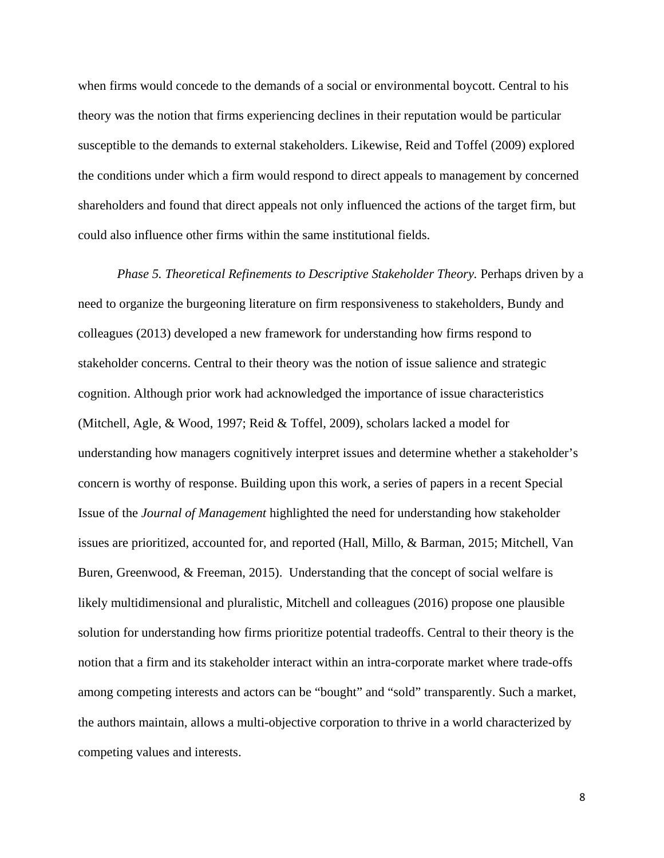when firms would concede to the demands of a social or environmental boycott. Central to his theory was the notion that firms experiencing declines in their reputation would be particular susceptible to the demands to external stakeholders. Likewise, Reid and Toffel (2009) explored the conditions under which a firm would respond to direct appeals to management by concerned shareholders and found that direct appeals not only influenced the actions of the target firm, but could also influence other firms within the same institutional fields.

*Phase 5. Theoretical Refinements to Descriptive Stakeholder Theory. Perhaps driven by a* need to organize the burgeoning literature on firm responsiveness to stakeholders, Bundy and colleagues (2013) developed a new framework for understanding how firms respond to stakeholder concerns. Central to their theory was the notion of issue salience and strategic cognition. Although prior work had acknowledged the importance of issue characteristics (Mitchell, Agle, & Wood, 1997; Reid & Toffel, 2009), scholars lacked a model for understanding how managers cognitively interpret issues and determine whether a stakeholder's concern is worthy of response. Building upon this work, a series of papers in a recent Special Issue of the *Journal of Management* highlighted the need for understanding how stakeholder issues are prioritized, accounted for, and reported (Hall, Millo, & Barman, 2015; Mitchell, Van Buren, Greenwood, & Freeman, 2015). Understanding that the concept of social welfare is likely multidimensional and pluralistic, Mitchell and colleagues (2016) propose one plausible solution for understanding how firms prioritize potential tradeoffs. Central to their theory is the notion that a firm and its stakeholder interact within an intra-corporate market where trade-offs among competing interests and actors can be "bought" and "sold" transparently. Such a market, the authors maintain, allows a multi-objective corporation to thrive in a world characterized by competing values and interests.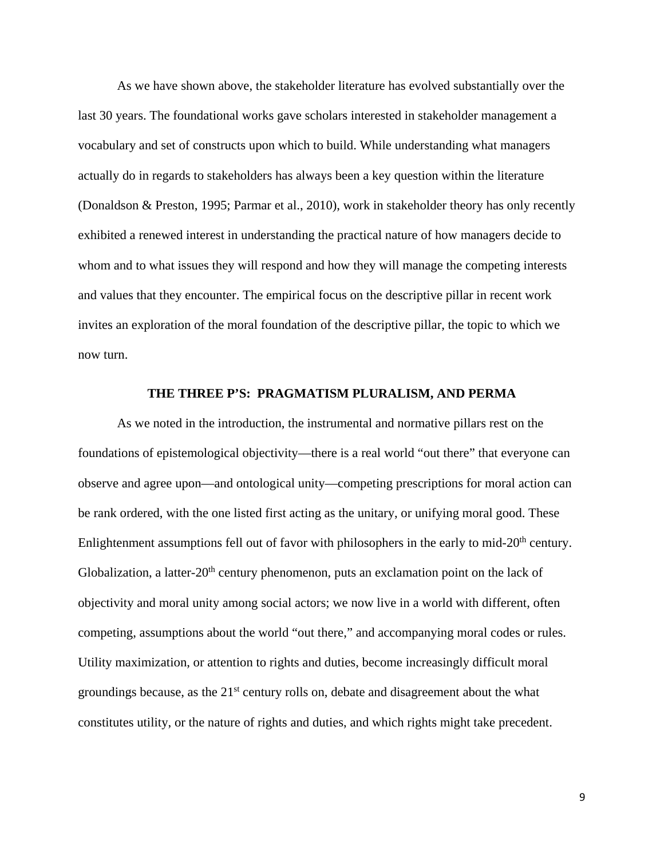As we have shown above, the stakeholder literature has evolved substantially over the last 30 years. The foundational works gave scholars interested in stakeholder management a vocabulary and set of constructs upon which to build. While understanding what managers actually do in regards to stakeholders has always been a key question within the literature (Donaldson & Preston, 1995; Parmar et al., 2010), work in stakeholder theory has only recently exhibited a renewed interest in understanding the practical nature of how managers decide to whom and to what issues they will respond and how they will manage the competing interests and values that they encounter. The empirical focus on the descriptive pillar in recent work invites an exploration of the moral foundation of the descriptive pillar, the topic to which we now turn.

#### **THE THREE P'S: PRAGMATISM PLURALISM, AND PERMA**

As we noted in the introduction, the instrumental and normative pillars rest on the foundations of epistemological objectivity—there is a real world "out there" that everyone can observe and agree upon—and ontological unity—competing prescriptions for moral action can be rank ordered, with the one listed first acting as the unitary, or unifying moral good. These Enlightenment assumptions fell out of favor with philosophers in the early to mid- $20<sup>th</sup>$  century. Globalization, a latter- $20<sup>th</sup>$  century phenomenon, puts an exclamation point on the lack of objectivity and moral unity among social actors; we now live in a world with different, often competing, assumptions about the world "out there," and accompanying moral codes or rules. Utility maximization, or attention to rights and duties, become increasingly difficult moral groundings because, as the  $21<sup>st</sup>$  century rolls on, debate and disagreement about the what constitutes utility, or the nature of rights and duties, and which rights might take precedent.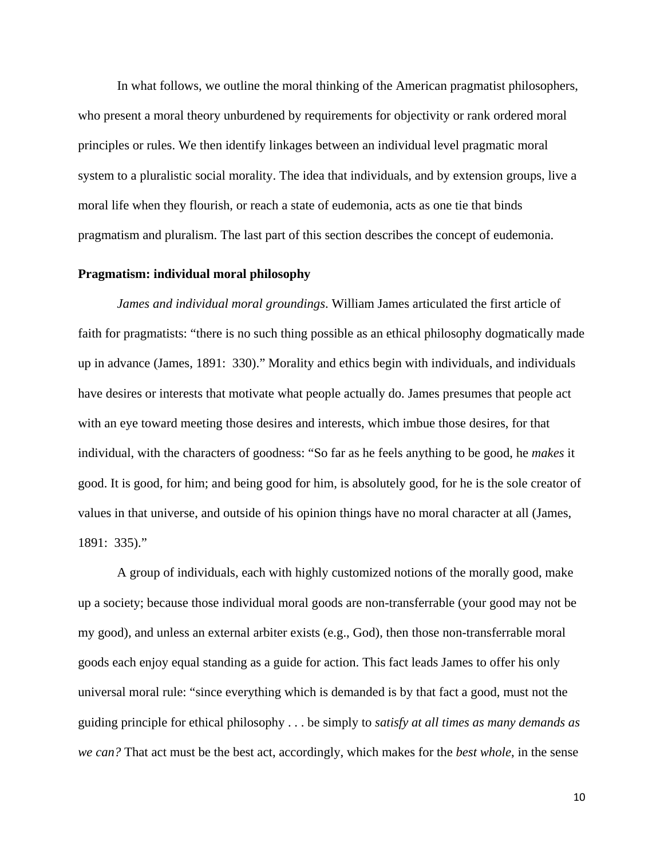In what follows, we outline the moral thinking of the American pragmatist philosophers, who present a moral theory unburdened by requirements for objectivity or rank ordered moral principles or rules. We then identify linkages between an individual level pragmatic moral system to a pluralistic social morality. The idea that individuals, and by extension groups, live a moral life when they flourish, or reach a state of eudemonia, acts as one tie that binds pragmatism and pluralism. The last part of this section describes the concept of eudemonia.

#### **Pragmatism: individual moral philosophy**

*James and individual moral groundings*. William James articulated the first article of faith for pragmatists: "there is no such thing possible as an ethical philosophy dogmatically made up in advance (James, 1891: 330)." Morality and ethics begin with individuals, and individuals have desires or interests that motivate what people actually do. James presumes that people act with an eye toward meeting those desires and interests, which imbue those desires, for that individual, with the characters of goodness: "So far as he feels anything to be good, he *makes* it good. It is good, for him; and being good for him, is absolutely good, for he is the sole creator of values in that universe, and outside of his opinion things have no moral character at all (James, 1891: 335)."

A group of individuals, each with highly customized notions of the morally good, make up a society; because those individual moral goods are non-transferrable (your good may not be my good), and unless an external arbiter exists (e.g., God), then those non-transferrable moral goods each enjoy equal standing as a guide for action. This fact leads James to offer his only universal moral rule: "since everything which is demanded is by that fact a good, must not the guiding principle for ethical philosophy . . . be simply to *satisfy at all times as many demands as we can?* That act must be the best act, accordingly, which makes for the *best whole*, in the sense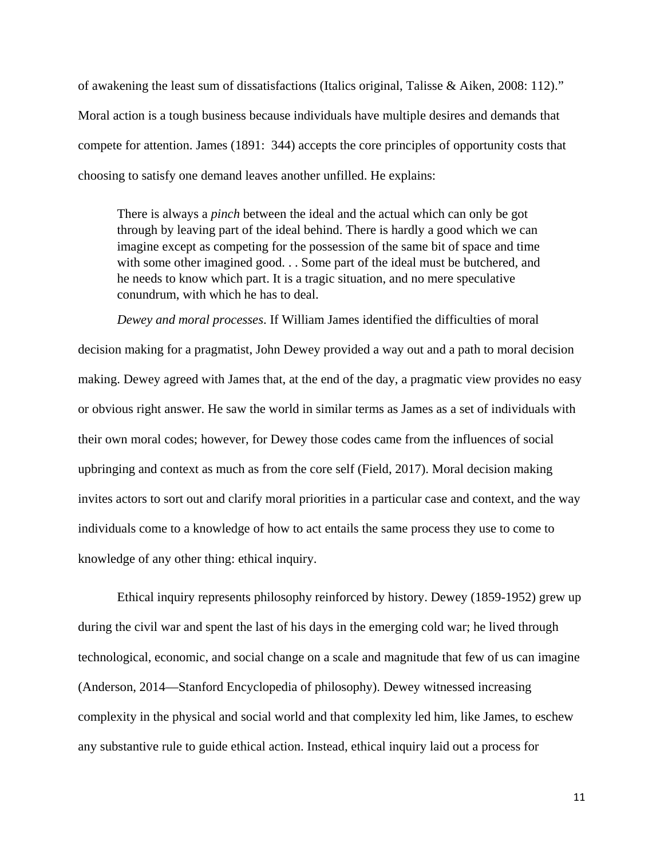of awakening the least sum of dissatisfactions (Italics original, Talisse & Aiken, 2008: 112)." Moral action is a tough business because individuals have multiple desires and demands that compete for attention. James (1891: 344) accepts the core principles of opportunity costs that choosing to satisfy one demand leaves another unfilled. He explains:

There is always a *pinch* between the ideal and the actual which can only be got through by leaving part of the ideal behind. There is hardly a good which we can imagine except as competing for the possession of the same bit of space and time with some other imagined good. . . Some part of the ideal must be butchered, and he needs to know which part. It is a tragic situation, and no mere speculative conundrum, with which he has to deal.

*Dewey and moral processes*. If William James identified the difficulties of moral decision making for a pragmatist, John Dewey provided a way out and a path to moral decision making. Dewey agreed with James that, at the end of the day, a pragmatic view provides no easy or obvious right answer. He saw the world in similar terms as James as a set of individuals with their own moral codes; however, for Dewey those codes came from the influences of social upbringing and context as much as from the core self (Field, 2017). Moral decision making invites actors to sort out and clarify moral priorities in a particular case and context, and the way individuals come to a knowledge of how to act entails the same process they use to come to knowledge of any other thing: ethical inquiry.

Ethical inquiry represents philosophy reinforced by history. Dewey (1859-1952) grew up during the civil war and spent the last of his days in the emerging cold war; he lived through technological, economic, and social change on a scale and magnitude that few of us can imagine (Anderson, 2014—Stanford Encyclopedia of philosophy). Dewey witnessed increasing complexity in the physical and social world and that complexity led him, like James, to eschew any substantive rule to guide ethical action. Instead, ethical inquiry laid out a process for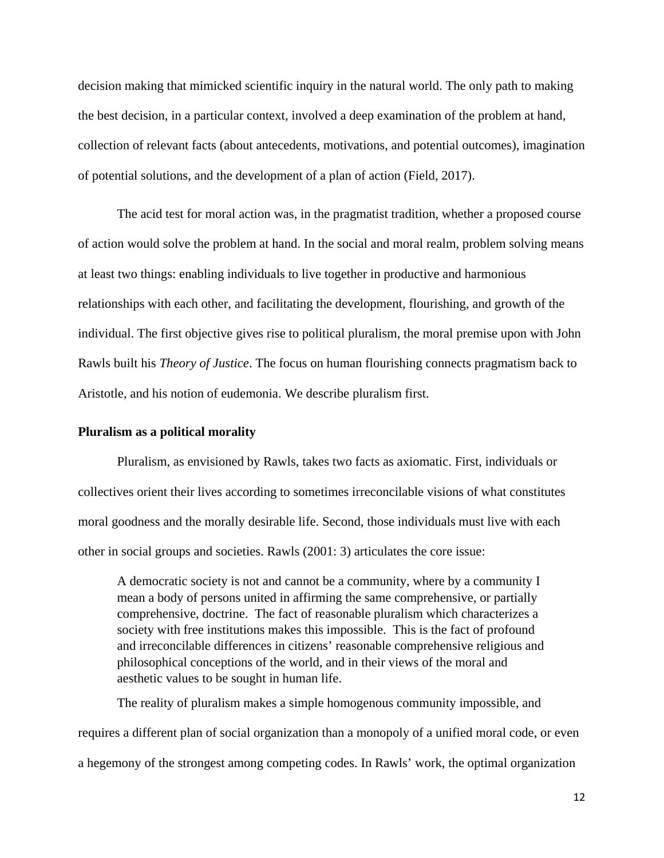decision making that mimicked scientific inquiry in the natural world. The only path to making the best decision, in a particular context, involved a deep examination of the problem at hand, collection of relevant facts (about antecedents, motivations, and potential outcomes), imagination of potential solutions, and the development of a plan of action (Field, 2017).

The acid test for moral action was, in the pragmatist tradition, whether a proposed course of action would solve the problem at hand. In the social and moral realm, problem solving means at least two things: enabling individuals to live together in productive and harmonious relationships with each other, and facilitating the development, flourishing, and growth of the individual. The first objective gives rise to political pluralism, the moral premise upon with John Rawls built his *Theory of Justice*. The focus on human flourishing connects pragmatism back to Aristotle, and his notion of eudemonia. We describe pluralism first.

#### **Pluralism as a political morality**

Pluralism, as envisioned by Rawls, takes two facts as axiomatic. First, individuals or collectives orient their lives according to sometimes irreconcilable visions of what constitutes moral goodness and the morally desirable life. Second, those individuals must live with each other in social groups and societies. Rawls (2001: 3) articulates the core issue:

A democratic society is not and cannot be a community, where by a community I mean a body of persons united in affirming the same comprehensive, or partially comprehensive, doctrine. The fact of reasonable pluralism which characterizes a society with free institutions makes this impossible. This is the fact of profound and irreconcilable differences in citizens' reasonable comprehensive religious and philosophical conceptions of the world, and in their views of the moral and aesthetic values to be sought in human life.

The reality of pluralism makes a simple homogenous community impossible, and requires a different plan of social organization than a monopoly of a unified moral code, or even a hegemony of the strongest among competing codes. In Rawls' work, the optimal organization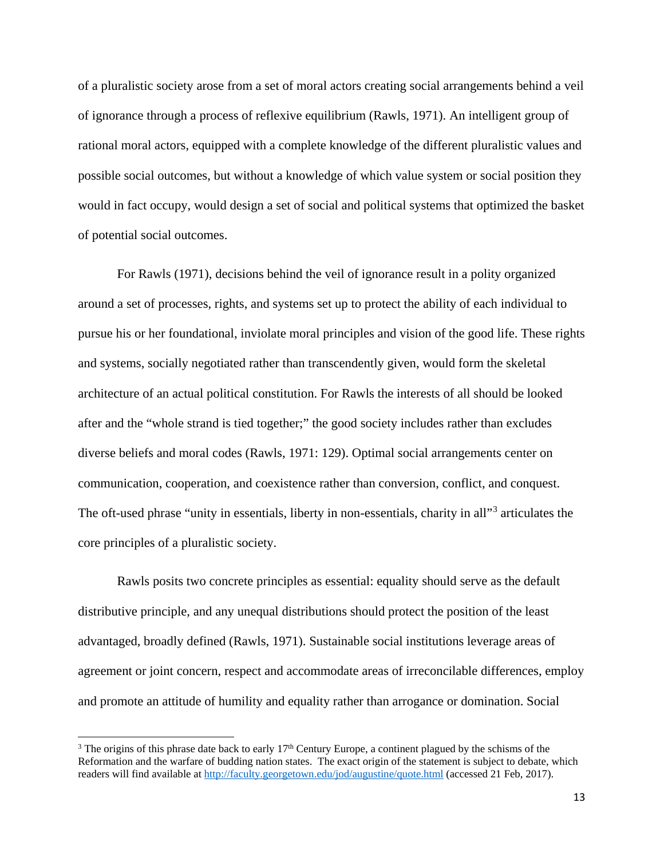of a pluralistic society arose from a set of moral actors creating social arrangements behind a veil of ignorance through a process of reflexive equilibrium (Rawls, 1971). An intelligent group of rational moral actors, equipped with a complete knowledge of the different pluralistic values and possible social outcomes, but without a knowledge of which value system or social position they would in fact occupy, would design a set of social and political systems that optimized the basket of potential social outcomes.

For Rawls (1971), decisions behind the veil of ignorance result in a polity organized around a set of processes, rights, and systems set up to protect the ability of each individual to pursue his or her foundational, inviolate moral principles and vision of the good life. These rights and systems, socially negotiated rather than transcendently given, would form the skeletal architecture of an actual political constitution. For Rawls the interests of all should be looked after and the "whole strand is tied together;" the good society includes rather than excludes diverse beliefs and moral codes (Rawls, 1971: 129). Optimal social arrangements center on communication, cooperation, and coexistence rather than conversion, conflict, and conquest. The oft-used phrase "unity in essentials, liberty in non-essentials, charity in all"<sup>[3](#page-15-0)</sup> articulates the core principles of a pluralistic society.

Rawls posits two concrete principles as essential: equality should serve as the default distributive principle, and any unequal distributions should protect the position of the least advantaged, broadly defined (Rawls, 1971). Sustainable social institutions leverage areas of agreement or joint concern, respect and accommodate areas of irreconcilable differences, employ and promote an attitude of humility and equality rather than arrogance or domination. Social

 $\overline{a}$ 

<span id="page-15-0"></span><sup>&</sup>lt;sup>3</sup> The origins of this phrase date back to early  $17<sup>th</sup>$  Century Europe, a continent plagued by the schisms of the Reformation and the warfare of budding nation states. The exact origin of the statement is subject to debate, which readers will find available at<http://faculty.georgetown.edu/jod/augustine/quote.html> (accessed 21 Feb, 2017).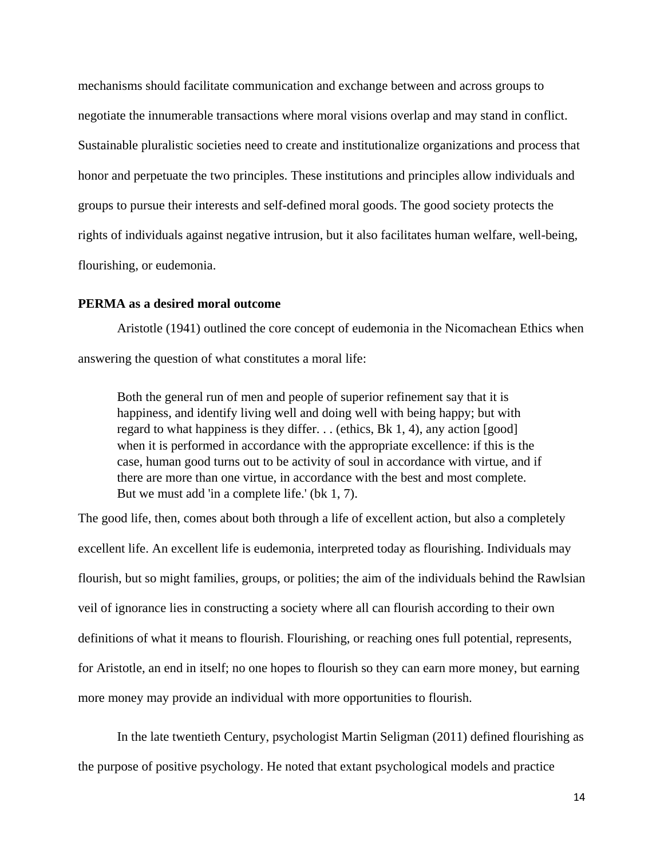mechanisms should facilitate communication and exchange between and across groups to negotiate the innumerable transactions where moral visions overlap and may stand in conflict. Sustainable pluralistic societies need to create and institutionalize organizations and process that honor and perpetuate the two principles. These institutions and principles allow individuals and groups to pursue their interests and self-defined moral goods. The good society protects the rights of individuals against negative intrusion, but it also facilitates human welfare, well-being, flourishing, or eudemonia.

## **PERMA as a desired moral outcome**

Aristotle (1941) outlined the core concept of eudemonia in the Nicomachean Ethics when answering the question of what constitutes a moral life:

Both the general run of men and people of superior refinement say that it is happiness, and identify living well and doing well with being happy; but with regard to what happiness is they differ. . . (ethics, Bk 1, 4), any action [good] when it is performed in accordance with the appropriate excellence: if this is the case, human good turns out to be activity of soul in accordance with virtue, and if there are more than one virtue, in accordance with the best and most complete. But we must add 'in a complete life.' (bk 1, 7).

The good life, then, comes about both through a life of excellent action, but also a completely excellent life. An excellent life is eudemonia, interpreted today as flourishing. Individuals may flourish, but so might families, groups, or polities; the aim of the individuals behind the Rawlsian veil of ignorance lies in constructing a society where all can flourish according to their own definitions of what it means to flourish. Flourishing, or reaching ones full potential, represents, for Aristotle, an end in itself; no one hopes to flourish so they can earn more money, but earning more money may provide an individual with more opportunities to flourish.

In the late twentieth Century, psychologist Martin Seligman (2011) defined flourishing as the purpose of positive psychology. He noted that extant psychological models and practice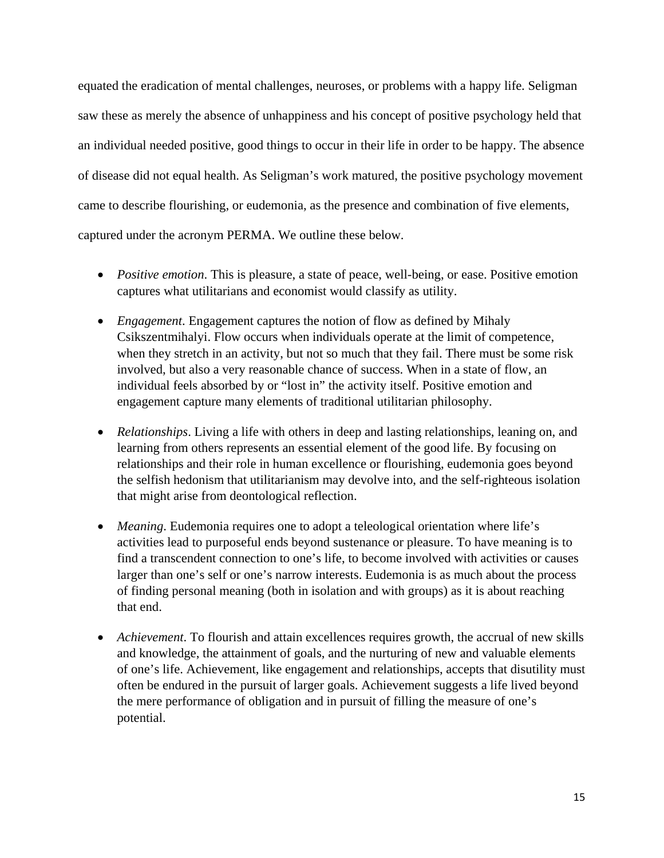equated the eradication of mental challenges, neuroses, or problems with a happy life. Seligman saw these as merely the absence of unhappiness and his concept of positive psychology held that an individual needed positive, good things to occur in their life in order to be happy. The absence of disease did not equal health. As Seligman's work matured, the positive psychology movement came to describe flourishing, or eudemonia, as the presence and combination of five elements, captured under the acronym PERMA. We outline these below.

- *Positive emotion*. This is pleasure, a state of peace, well-being, or ease. Positive emotion captures what utilitarians and economist would classify as utility.
- *Engagement*. Engagement captures the notion of flow as defined by Mihaly Csikszentmihalyi. Flow occurs when individuals operate at the limit of competence, when they stretch in an activity, but not so much that they fail. There must be some risk involved, but also a very reasonable chance of success. When in a state of flow, an individual feels absorbed by or "lost in" the activity itself. Positive emotion and engagement capture many elements of traditional utilitarian philosophy.
- *Relationships*. Living a life with others in deep and lasting relationships, leaning on, and learning from others represents an essential element of the good life. By focusing on relationships and their role in human excellence or flourishing, eudemonia goes beyond the selfish hedonism that utilitarianism may devolve into, and the self-righteous isolation that might arise from deontological reflection.
- *Meaning*. Eudemonia requires one to adopt a teleological orientation where life's activities lead to purposeful ends beyond sustenance or pleasure. To have meaning is to find a transcendent connection to one's life, to become involved with activities or causes larger than one's self or one's narrow interests. Eudemonia is as much about the process of finding personal meaning (both in isolation and with groups) as it is about reaching that end.
- *Achievement*. To flourish and attain excellences requires growth, the accrual of new skills and knowledge, the attainment of goals, and the nurturing of new and valuable elements of one's life. Achievement, like engagement and relationships, accepts that disutility must often be endured in the pursuit of larger goals. Achievement suggests a life lived beyond the mere performance of obligation and in pursuit of filling the measure of one's potential.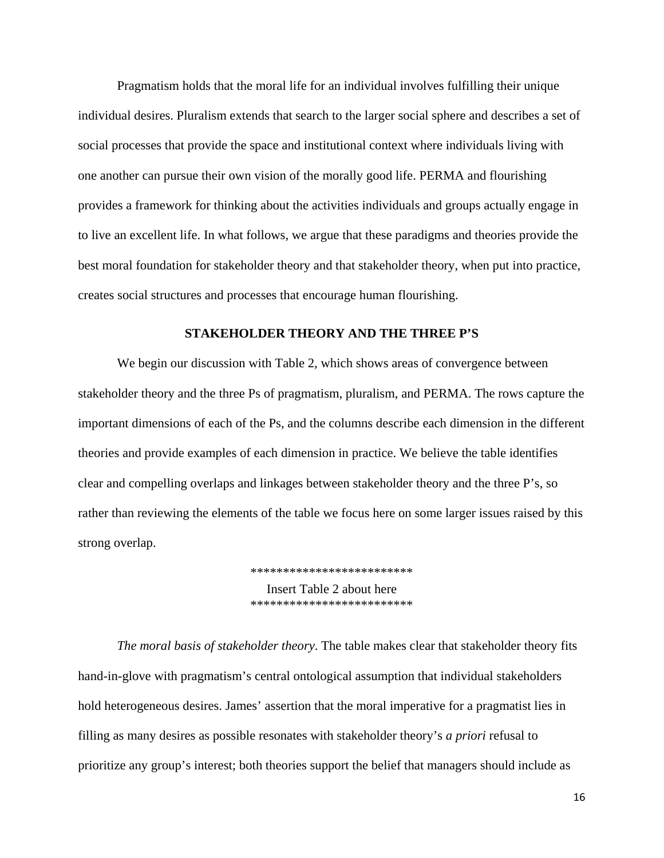Pragmatism holds that the moral life for an individual involves fulfilling their unique individual desires. Pluralism extends that search to the larger social sphere and describes a set of social processes that provide the space and institutional context where individuals living with one another can pursue their own vision of the morally good life. PERMA and flourishing provides a framework for thinking about the activities individuals and groups actually engage in to live an excellent life. In what follows, we argue that these paradigms and theories provide the best moral foundation for stakeholder theory and that stakeholder theory, when put into practice, creates social structures and processes that encourage human flourishing.

#### **STAKEHOLDER THEORY AND THE THREE P'S**

We begin our discussion with Table 2, which shows areas of convergence between stakeholder theory and the three Ps of pragmatism, pluralism, and PERMA. The rows capture the important dimensions of each of the Ps, and the columns describe each dimension in the different theories and provide examples of each dimension in practice. We believe the table identifies clear and compelling overlaps and linkages between stakeholder theory and the three P's, so rather than reviewing the elements of the table we focus here on some larger issues raised by this strong overlap.

> \*\*\*\*\*\*\*\*\*\*\*\*\*\*\*\*\*\*\*\*\*\*\*\*\* Insert Table 2 about here \*\*\*\*\*\*\*\*\*\*\*\*\*\*\*\*\*\*\*\*\*\*\*\*\*

*The moral basis of stakeholder theory*. The table makes clear that stakeholder theory fits hand-in-glove with pragmatism's central ontological assumption that individual stakeholders hold heterogeneous desires. James' assertion that the moral imperative for a pragmatist lies in filling as many desires as possible resonates with stakeholder theory's *a priori* refusal to prioritize any group's interest; both theories support the belief that managers should include as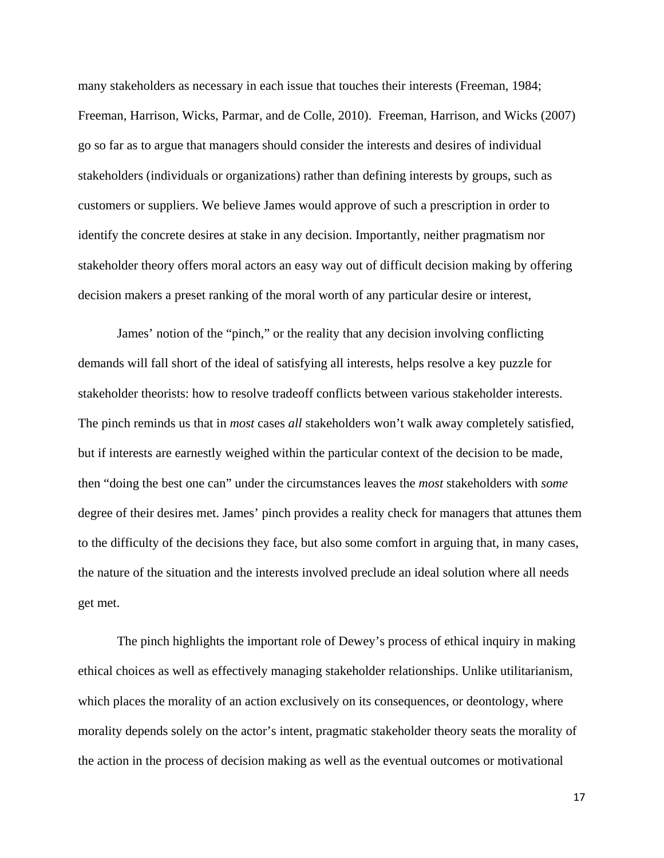many stakeholders as necessary in each issue that touches their interests (Freeman, 1984; Freeman, Harrison, Wicks, Parmar, and de Colle, 2010). Freeman, Harrison, and Wicks (2007) go so far as to argue that managers should consider the interests and desires of individual stakeholders (individuals or organizations) rather than defining interests by groups, such as customers or suppliers. We believe James would approve of such a prescription in order to identify the concrete desires at stake in any decision. Importantly, neither pragmatism nor stakeholder theory offers moral actors an easy way out of difficult decision making by offering decision makers a preset ranking of the moral worth of any particular desire or interest,

James' notion of the "pinch," or the reality that any decision involving conflicting demands will fall short of the ideal of satisfying all interests, helps resolve a key puzzle for stakeholder theorists: how to resolve tradeoff conflicts between various stakeholder interests. The pinch reminds us that in *most* cases *all* stakeholders won't walk away completely satisfied, but if interests are earnestly weighed within the particular context of the decision to be made, then "doing the best one can" under the circumstances leaves the *most* stakeholders with *some* degree of their desires met. James' pinch provides a reality check for managers that attunes them to the difficulty of the decisions they face, but also some comfort in arguing that, in many cases, the nature of the situation and the interests involved preclude an ideal solution where all needs get met.

The pinch highlights the important role of Dewey's process of ethical inquiry in making ethical choices as well as effectively managing stakeholder relationships. Unlike utilitarianism, which places the morality of an action exclusively on its consequences, or deontology, where morality depends solely on the actor's intent, pragmatic stakeholder theory seats the morality of the action in the process of decision making as well as the eventual outcomes or motivational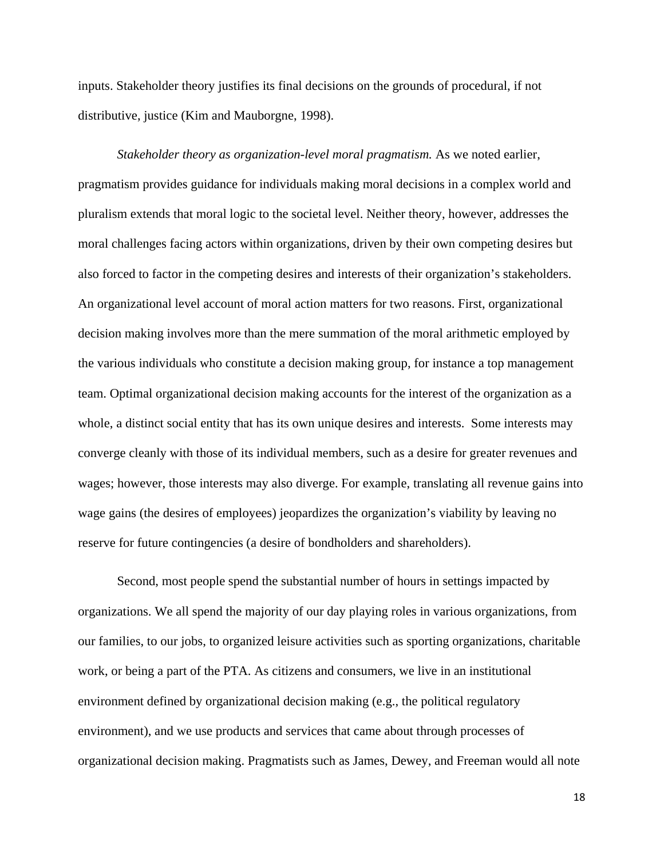inputs. Stakeholder theory justifies its final decisions on the grounds of procedural, if not distributive, justice (Kim and Mauborgne, 1998).

*Stakeholder theory as organization-level moral pragmatism.* As we noted earlier, pragmatism provides guidance for individuals making moral decisions in a complex world and pluralism extends that moral logic to the societal level. Neither theory, however, addresses the moral challenges facing actors within organizations, driven by their own competing desires but also forced to factor in the competing desires and interests of their organization's stakeholders. An organizational level account of moral action matters for two reasons. First, organizational decision making involves more than the mere summation of the moral arithmetic employed by the various individuals who constitute a decision making group, for instance a top management team. Optimal organizational decision making accounts for the interest of the organization as a whole, a distinct social entity that has its own unique desires and interests. Some interests may converge cleanly with those of its individual members, such as a desire for greater revenues and wages; however, those interests may also diverge. For example, translating all revenue gains into wage gains (the desires of employees) jeopardizes the organization's viability by leaving no reserve for future contingencies (a desire of bondholders and shareholders).

Second, most people spend the substantial number of hours in settings impacted by organizations. We all spend the majority of our day playing roles in various organizations, from our families, to our jobs, to organized leisure activities such as sporting organizations, charitable work, or being a part of the PTA. As citizens and consumers, we live in an institutional environment defined by organizational decision making (e.g., the political regulatory environment), and we use products and services that came about through processes of organizational decision making. Pragmatists such as James, Dewey, and Freeman would all note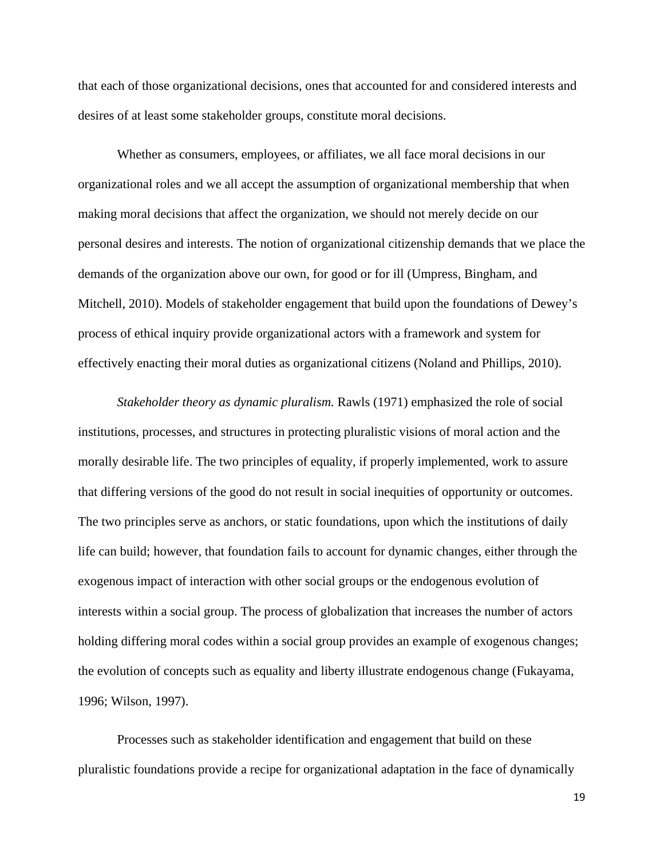that each of those organizational decisions, ones that accounted for and considered interests and desires of at least some stakeholder groups, constitute moral decisions.

Whether as consumers, employees, or affiliates, we all face moral decisions in our organizational roles and we all accept the assumption of organizational membership that when making moral decisions that affect the organization, we should not merely decide on our personal desires and interests. The notion of organizational citizenship demands that we place the demands of the organization above our own, for good or for ill (Umpress, Bingham, and Mitchell, 2010). Models of stakeholder engagement that build upon the foundations of Dewey's process of ethical inquiry provide organizational actors with a framework and system for effectively enacting their moral duties as organizational citizens (Noland and Phillips, 2010).

*Stakeholder theory as dynamic pluralism.* Rawls (1971) emphasized the role of social institutions, processes, and structures in protecting pluralistic visions of moral action and the morally desirable life. The two principles of equality, if properly implemented, work to assure that differing versions of the good do not result in social inequities of opportunity or outcomes. The two principles serve as anchors, or static foundations, upon which the institutions of daily life can build; however, that foundation fails to account for dynamic changes, either through the exogenous impact of interaction with other social groups or the endogenous evolution of interests within a social group. The process of globalization that increases the number of actors holding differing moral codes within a social group provides an example of exogenous changes; the evolution of concepts such as equality and liberty illustrate endogenous change (Fukayama, 1996; Wilson, 1997).

Processes such as stakeholder identification and engagement that build on these pluralistic foundations provide a recipe for organizational adaptation in the face of dynamically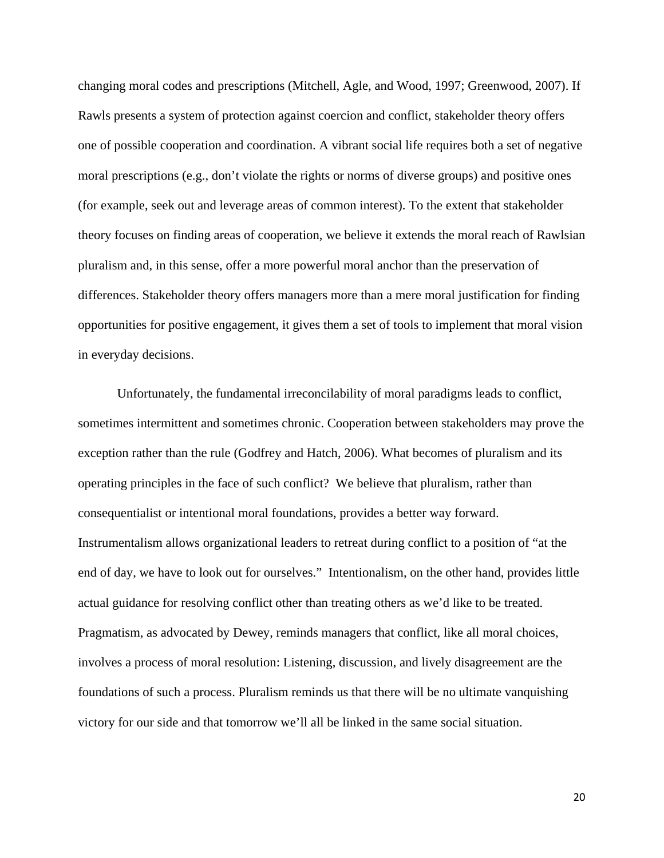changing moral codes and prescriptions (Mitchell, Agle, and Wood, 1997; Greenwood, 2007). If Rawls presents a system of protection against coercion and conflict, stakeholder theory offers one of possible cooperation and coordination. A vibrant social life requires both a set of negative moral prescriptions (e.g., don't violate the rights or norms of diverse groups) and positive ones (for example, seek out and leverage areas of common interest). To the extent that stakeholder theory focuses on finding areas of cooperation, we believe it extends the moral reach of Rawlsian pluralism and, in this sense, offer a more powerful moral anchor than the preservation of differences. Stakeholder theory offers managers more than a mere moral justification for finding opportunities for positive engagement, it gives them a set of tools to implement that moral vision in everyday decisions.

Unfortunately, the fundamental irreconcilability of moral paradigms leads to conflict, sometimes intermittent and sometimes chronic. Cooperation between stakeholders may prove the exception rather than the rule (Godfrey and Hatch, 2006). What becomes of pluralism and its operating principles in the face of such conflict? We believe that pluralism, rather than consequentialist or intentional moral foundations, provides a better way forward. Instrumentalism allows organizational leaders to retreat during conflict to a position of "at the end of day, we have to look out for ourselves." Intentionalism, on the other hand, provides little actual guidance for resolving conflict other than treating others as we'd like to be treated. Pragmatism, as advocated by Dewey, reminds managers that conflict, like all moral choices, involves a process of moral resolution: Listening, discussion, and lively disagreement are the foundations of such a process. Pluralism reminds us that there will be no ultimate vanquishing victory for our side and that tomorrow we'll all be linked in the same social situation.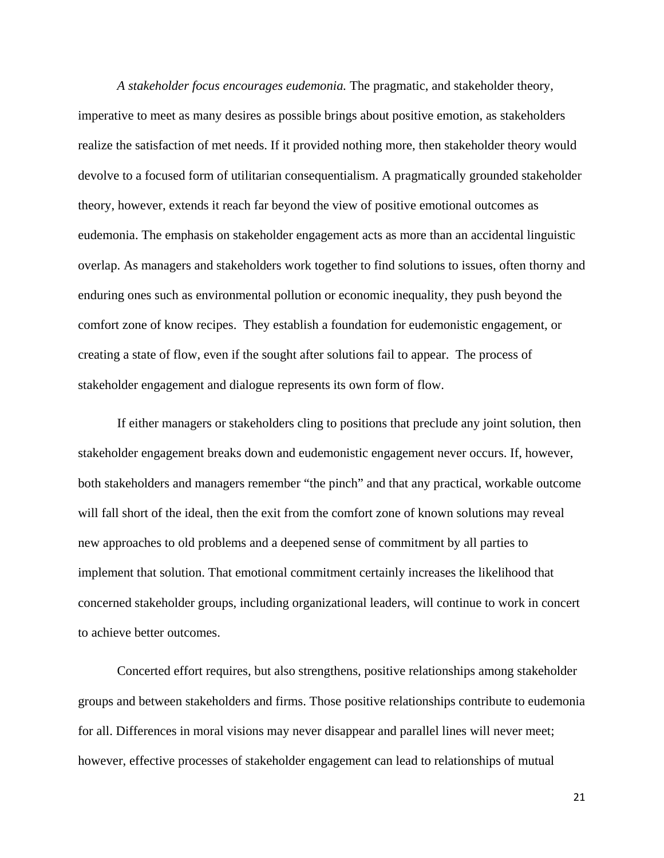*A stakeholder focus encourages eudemonia.* The pragmatic, and stakeholder theory, imperative to meet as many desires as possible brings about positive emotion, as stakeholders realize the satisfaction of met needs. If it provided nothing more, then stakeholder theory would devolve to a focused form of utilitarian consequentialism. A pragmatically grounded stakeholder theory, however, extends it reach far beyond the view of positive emotional outcomes as eudemonia. The emphasis on stakeholder engagement acts as more than an accidental linguistic overlap. As managers and stakeholders work together to find solutions to issues, often thorny and enduring ones such as environmental pollution or economic inequality, they push beyond the comfort zone of know recipes. They establish a foundation for eudemonistic engagement, or creating a state of flow, even if the sought after solutions fail to appear. The process of stakeholder engagement and dialogue represents its own form of flow.

If either managers or stakeholders cling to positions that preclude any joint solution, then stakeholder engagement breaks down and eudemonistic engagement never occurs. If, however, both stakeholders and managers remember "the pinch" and that any practical, workable outcome will fall short of the ideal, then the exit from the comfort zone of known solutions may reveal new approaches to old problems and a deepened sense of commitment by all parties to implement that solution. That emotional commitment certainly increases the likelihood that concerned stakeholder groups, including organizational leaders, will continue to work in concert to achieve better outcomes.

Concerted effort requires, but also strengthens, positive relationships among stakeholder groups and between stakeholders and firms. Those positive relationships contribute to eudemonia for all. Differences in moral visions may never disappear and parallel lines will never meet; however, effective processes of stakeholder engagement can lead to relationships of mutual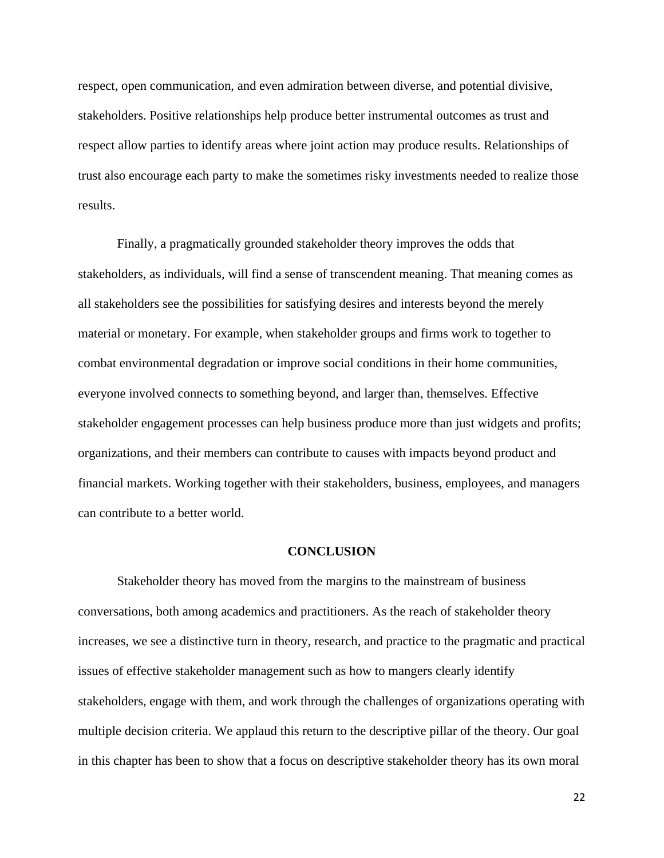respect, open communication, and even admiration between diverse, and potential divisive, stakeholders. Positive relationships help produce better instrumental outcomes as trust and respect allow parties to identify areas where joint action may produce results. Relationships of trust also encourage each party to make the sometimes risky investments needed to realize those results.

Finally, a pragmatically grounded stakeholder theory improves the odds that stakeholders, as individuals, will find a sense of transcendent meaning. That meaning comes as all stakeholders see the possibilities for satisfying desires and interests beyond the merely material or monetary. For example, when stakeholder groups and firms work to together to combat environmental degradation or improve social conditions in their home communities, everyone involved connects to something beyond, and larger than, themselves. Effective stakeholder engagement processes can help business produce more than just widgets and profits; organizations, and their members can contribute to causes with impacts beyond product and financial markets. Working together with their stakeholders, business, employees, and managers can contribute to a better world.

#### **CONCLUSION**

Stakeholder theory has moved from the margins to the mainstream of business conversations, both among academics and practitioners. As the reach of stakeholder theory increases, we see a distinctive turn in theory, research, and practice to the pragmatic and practical issues of effective stakeholder management such as how to mangers clearly identify stakeholders, engage with them, and work through the challenges of organizations operating with multiple decision criteria. We applaud this return to the descriptive pillar of the theory. Our goal in this chapter has been to show that a focus on descriptive stakeholder theory has its own moral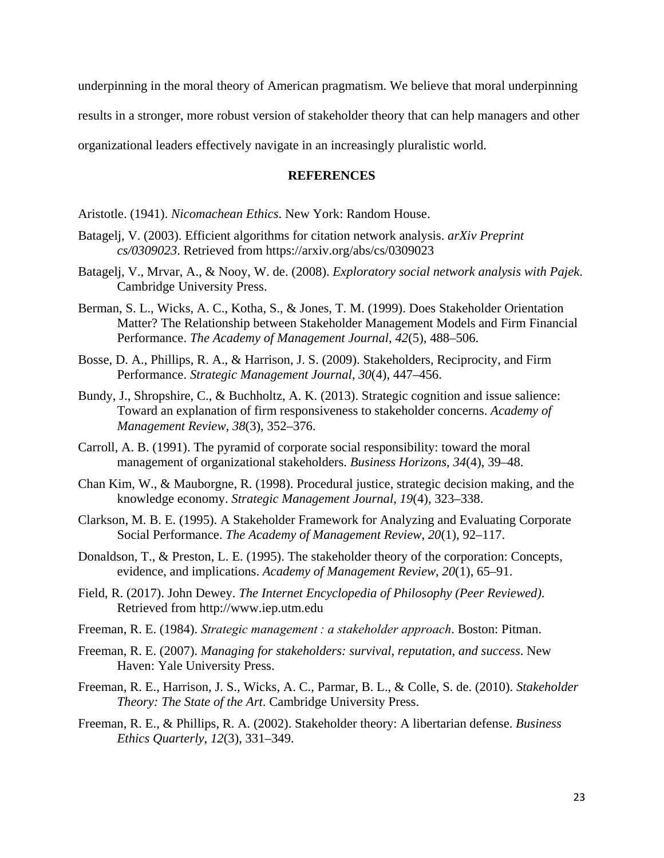underpinning in the moral theory of American pragmatism. We believe that moral underpinning

results in a stronger, more robust version of stakeholder theory that can help managers and other

organizational leaders effectively navigate in an increasingly pluralistic world.

#### **REFERENCES**

Aristotle. (1941). *Nicomachean Ethics*. New York: Random House.

- Batagelj, V. (2003). Efficient algorithms for citation network analysis. *arXiv Preprint cs/0309023*. Retrieved from https://arxiv.org/abs/cs/0309023
- Batagelj, V., Mrvar, A., & Nooy, W. de. (2008). *Exploratory social network analysis with Pajek*. Cambridge University Press.
- Berman, S. L., Wicks, A. C., Kotha, S., & Jones, T. M. (1999). Does Stakeholder Orientation Matter? The Relationship between Stakeholder Management Models and Firm Financial Performance. *The Academy of Management Journal*, *42*(5), 488–506.
- Bosse, D. A., Phillips, R. A., & Harrison, J. S. (2009). Stakeholders, Reciprocity, and Firm Performance. *Strategic Management Journal*, *30*(4), 447–456.
- Bundy, J., Shropshire, C., & Buchholtz, A. K. (2013). Strategic cognition and issue salience: Toward an explanation of firm responsiveness to stakeholder concerns. *Academy of Management Review*, *38*(3), 352–376.
- Carroll, A. B. (1991). The pyramid of corporate social responsibility: toward the moral management of organizational stakeholders. *Business Horizons*, *34*(4), 39–48.
- Chan Kim, W., & Mauborgne, R. (1998). Procedural justice, strategic decision making, and the knowledge economy. *Strategic Management Journal*, *19*(4), 323–338.
- Clarkson, M. B. E. (1995). A Stakeholder Framework for Analyzing and Evaluating Corporate Social Performance. *The Academy of Management Review*, *20*(1), 92–117.
- Donaldson, T., & Preston, L. E. (1995). The stakeholder theory of the corporation: Concepts, evidence, and implications. *Academy of Management Review*, *20*(1), 65–91.
- Field, R. (2017). John Dewey. *The Internet Encyclopedia of Philosophy (Peer Reviewed)*. Retrieved from http://www.iep.utm.edu
- Freeman, R. E. (1984). *Strategic management : a stakeholder approach*. Boston: Pitman.
- Freeman, R. E. (2007). *Managing for stakeholders: survival, reputation, and success*. New Haven: Yale University Press.
- Freeman, R. E., Harrison, J. S., Wicks, A. C., Parmar, B. L., & Colle, S. de. (2010). *Stakeholder Theory: The State of the Art*. Cambridge University Press.
- Freeman, R. E., & Phillips, R. A. (2002). Stakeholder theory: A libertarian defense. *Business Ethics Quarterly*, *12*(3), 331–349.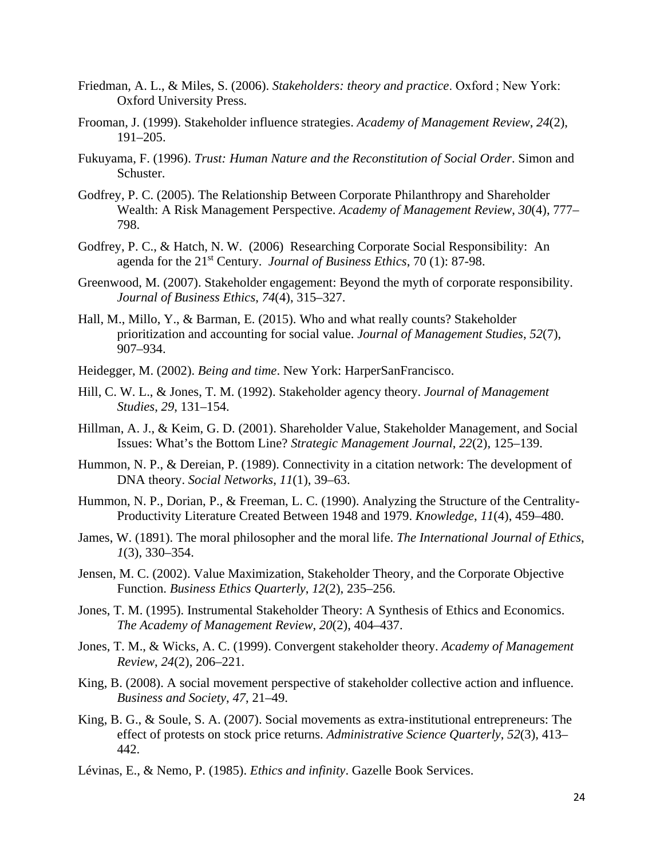- Friedman, A. L., & Miles, S. (2006). *Stakeholders: theory and practice*. Oxford ; New York: Oxford University Press.
- Frooman, J. (1999). Stakeholder influence strategies. *Academy of Management Review*, *24*(2), 191–205.
- Fukuyama, F. (1996). *Trust: Human Nature and the Reconstitution of Social Order*. Simon and Schuster.
- Godfrey, P. C. (2005). The Relationship Between Corporate Philanthropy and Shareholder Wealth: A Risk Management Perspective. *Academy of Management Review*, *30*(4), 777– 798.
- Godfrey, P. C., & Hatch, N. W. (2006) Researching Corporate Social Responsibility: An agenda for the 21st Century. *Journal of Business Ethics*, 70 (1): 87-98.
- Greenwood, M. (2007). Stakeholder engagement: Beyond the myth of corporate responsibility. *Journal of Business Ethics*, *74*(4), 315–327.
- Hall, M., Millo, Y., & Barman, E. (2015). Who and what really counts? Stakeholder prioritization and accounting for social value. *Journal of Management Studies*, *52*(7), 907–934.
- Heidegger, M. (2002). *Being and time*. New York: HarperSanFrancisco.
- Hill, C. W. L., & Jones, T. M. (1992). Stakeholder agency theory. *Journal of Management Studies*, *29*, 131–154.
- Hillman, A. J., & Keim, G. D. (2001). Shareholder Value, Stakeholder Management, and Social Issues: What's the Bottom Line? *Strategic Management Journal*, *22*(2), 125–139.
- Hummon, N. P., & Dereian, P. (1989). Connectivity in a citation network: The development of DNA theory. *Social Networks*, *11*(1), 39–63.
- Hummon, N. P., Dorian, P., & Freeman, L. C. (1990). Analyzing the Structure of the Centrality-Productivity Literature Created Between 1948 and 1979. *Knowledge*, *11*(4), 459–480.
- James, W. (1891). The moral philosopher and the moral life. *The International Journal of Ethics*, *1*(3), 330–354.
- Jensen, M. C. (2002). Value Maximization, Stakeholder Theory, and the Corporate Objective Function. *Business Ethics Quarterly*, *12*(2), 235–256.
- Jones, T. M. (1995). Instrumental Stakeholder Theory: A Synthesis of Ethics and Economics. *The Academy of Management Review*, *20*(2), 404–437.
- Jones, T. M., & Wicks, A. C. (1999). Convergent stakeholder theory. *Academy of Management Review*, *24*(2), 206–221.
- King, B. (2008). A social movement perspective of stakeholder collective action and influence. *Business and Society*, *47*, 21–49.
- King, B. G., & Soule, S. A. (2007). Social movements as extra-institutional entrepreneurs: The effect of protests on stock price returns. *Administrative Science Quarterly*, *52*(3), 413– 442.
- Lévinas, E., & Nemo, P. (1985). *Ethics and infinity*. Gazelle Book Services.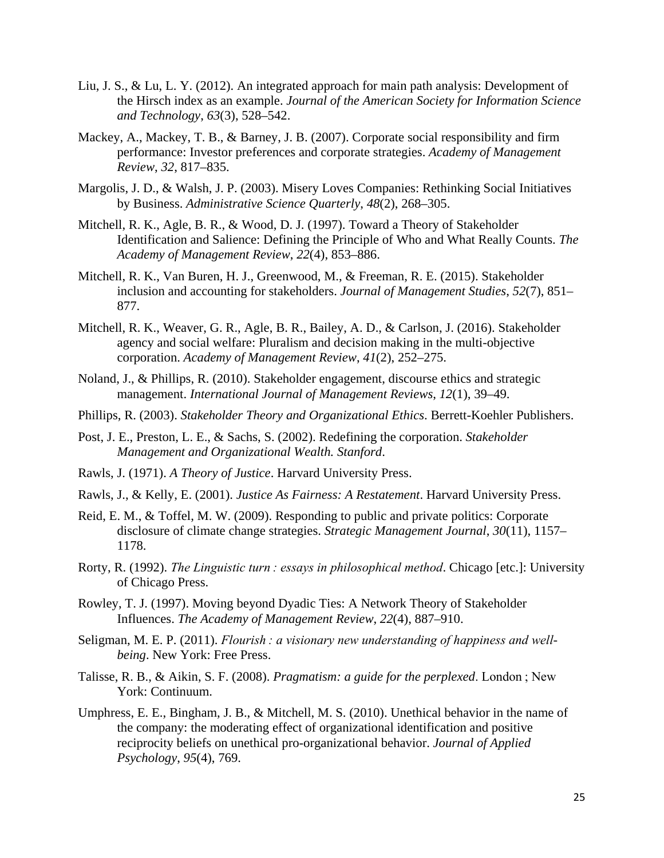- Liu, J. S., & Lu, L. Y. (2012). An integrated approach for main path analysis: Development of the Hirsch index as an example. *Journal of the American Society for Information Science and Technology*, *63*(3), 528–542.
- Mackey, A., Mackey, T. B., & Barney, J. B. (2007). Corporate social responsibility and firm performance: Investor preferences and corporate strategies. *Academy of Management Review*, *32*, 817–835.
- Margolis, J. D., & Walsh, J. P. (2003). Misery Loves Companies: Rethinking Social Initiatives by Business. *Administrative Science Quarterly*, *48*(2), 268–305.
- Mitchell, R. K., Agle, B. R., & Wood, D. J. (1997). Toward a Theory of Stakeholder Identification and Salience: Defining the Principle of Who and What Really Counts. *The Academy of Management Review*, *22*(4), 853–886.
- Mitchell, R. K., Van Buren, H. J., Greenwood, M., & Freeman, R. E. (2015). Stakeholder inclusion and accounting for stakeholders. *Journal of Management Studies*, *52*(7), 851– 877.
- Mitchell, R. K., Weaver, G. R., Agle, B. R., Bailey, A. D., & Carlson, J. (2016). Stakeholder agency and social welfare: Pluralism and decision making in the multi-objective corporation. *Academy of Management Review*, *41*(2), 252–275.
- Noland, J., & Phillips, R. (2010). Stakeholder engagement, discourse ethics and strategic management. *International Journal of Management Reviews*, *12*(1), 39–49.
- Phillips, R. (2003). *Stakeholder Theory and Organizational Ethics*. Berrett-Koehler Publishers.
- Post, J. E., Preston, L. E., & Sachs, S. (2002). Redefining the corporation. *Stakeholder Management and Organizational Wealth. Stanford*.
- Rawls, J. (1971). *A Theory of Justice*. Harvard University Press.
- Rawls, J., & Kelly, E. (2001). *Justice As Fairness: A Restatement*. Harvard University Press.
- Reid, E. M., & Toffel, M. W. (2009). Responding to public and private politics: Corporate disclosure of climate change strategies. *Strategic Management Journal*, *30*(11), 1157– 1178.
- Rorty, R. (1992). *The Linguistic turn : essays in philosophical method*. Chicago [etc.]: University of Chicago Press.
- Rowley, T. J. (1997). Moving beyond Dyadic Ties: A Network Theory of Stakeholder Influences. *The Academy of Management Review*, *22*(4), 887–910.
- Seligman, M. E. P. (2011). *Flourish : a visionary new understanding of happiness and wellbeing*. New York: Free Press.
- Talisse, R. B., & Aikin, S. F. (2008). *Pragmatism: a guide for the perplexed*. London ; New York: Continuum.
- Umphress, E. E., Bingham, J. B., & Mitchell, M. S. (2010). Unethical behavior in the name of the company: the moderating effect of organizational identification and positive reciprocity beliefs on unethical pro-organizational behavior. *Journal of Applied Psychology*, *95*(4), 769.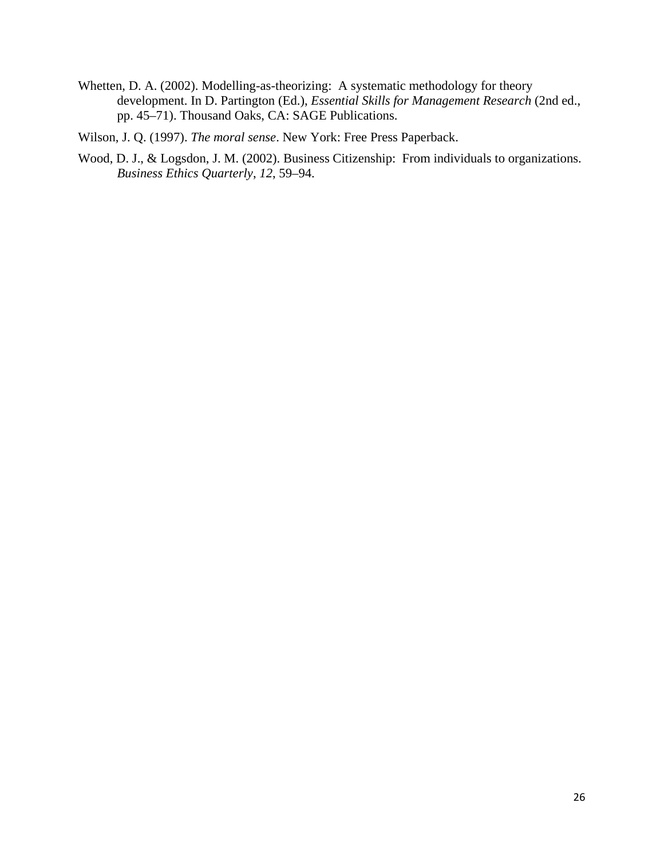- Whetten, D. A. (2002). Modelling-as-theorizing: A systematic methodology for theory development. In D. Partington (Ed.), *Essential Skills for Management Research* (2nd ed., pp. 45–71). Thousand Oaks, CA: SAGE Publications.
- Wilson, J. Q. (1997). *The moral sense*. New York: Free Press Paperback.
- Wood, D. J., & Logsdon, J. M. (2002). Business Citizenship: From individuals to organizations. *Business Ethics Quarterly*, *12*, 59–94.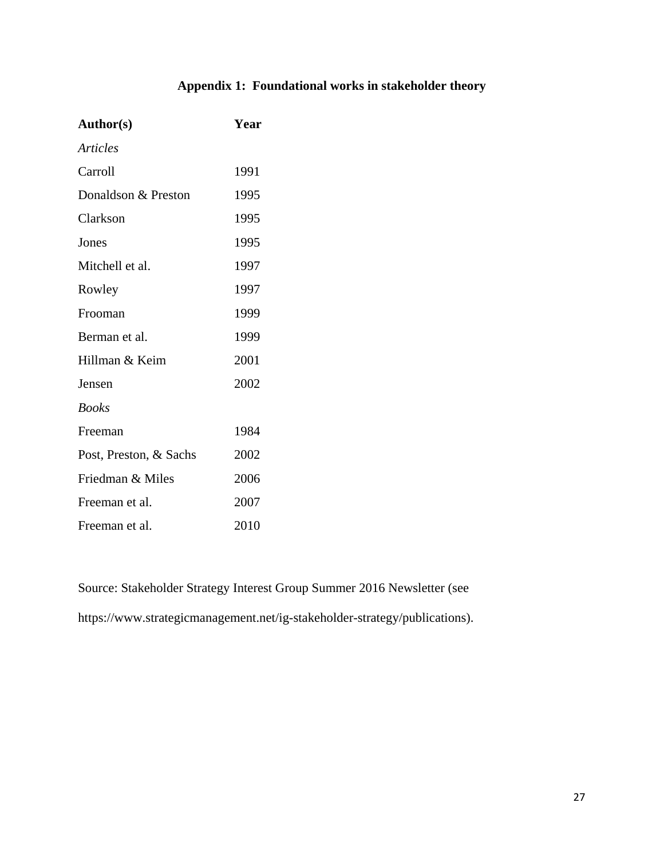# **Appendix 1: Foundational works in stakeholder theory**

| <b>Author(s)</b>       | Year |
|------------------------|------|
| Articles               |      |
| Carroll                | 1991 |
| Donaldson & Preston    | 1995 |
| Clarkson               | 1995 |
| Jones                  | 1995 |
| Mitchell et al.        | 1997 |
| Rowley                 | 1997 |
| Frooman                | 1999 |
| Berman et al.          | 1999 |
| Hillman & Keim         | 2001 |
| Jensen                 | 2002 |
| <b>Books</b>           |      |
| Freeman                | 1984 |
| Post, Preston, & Sachs | 2002 |
| Friedman & Miles       | 2006 |
| Freeman et al.         | 2007 |
| Freeman et al.         | 2010 |

Source: Stakeholder Strategy Interest Group Summer 2016 Newsletter (see https://www.strategicmanagement.net/ig-stakeholder-strategy/publications).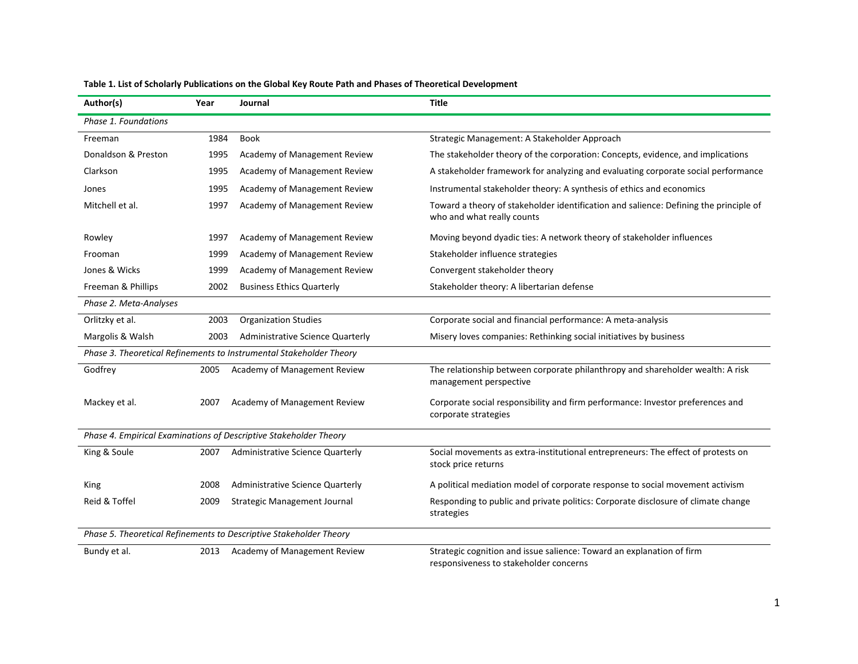| Author(s)                                                           | Year | Journal                                                            | <b>Title</b>                                                                                                        |
|---------------------------------------------------------------------|------|--------------------------------------------------------------------|---------------------------------------------------------------------------------------------------------------------|
| Phase 1. Foundations                                                |      |                                                                    |                                                                                                                     |
| Freeman                                                             | 1984 | Book                                                               | Strategic Management: A Stakeholder Approach                                                                        |
| Donaldson & Preston                                                 | 1995 | Academy of Management Review                                       | The stakeholder theory of the corporation: Concepts, evidence, and implications                                     |
| Clarkson                                                            | 1995 | Academy of Management Review                                       | A stakeholder framework for analyzing and evaluating corporate social performance                                   |
| Jones                                                               | 1995 | Academy of Management Review                                       | Instrumental stakeholder theory: A synthesis of ethics and economics                                                |
| Mitchell et al.                                                     | 1997 | Academy of Management Review                                       | Toward a theory of stakeholder identification and salience: Defining the principle of<br>who and what really counts |
| Rowley                                                              | 1997 | Academy of Management Review                                       | Moving beyond dyadic ties: A network theory of stakeholder influences                                               |
| Frooman                                                             | 1999 | Academy of Management Review                                       | Stakeholder influence strategies                                                                                    |
| Jones & Wicks                                                       | 1999 | Academy of Management Review                                       | Convergent stakeholder theory                                                                                       |
| Freeman & Phillips                                                  | 2002 | <b>Business Ethics Quarterly</b>                                   | Stakeholder theory: A libertarian defense                                                                           |
| Phase 2. Meta-Analyses                                              |      |                                                                    |                                                                                                                     |
| Orlitzky et al.                                                     | 2003 | <b>Organization Studies</b>                                        | Corporate social and financial performance: A meta-analysis                                                         |
| Margolis & Walsh                                                    | 2003 | Administrative Science Quarterly                                   | Misery loves companies: Rethinking social initiatives by business                                                   |
| Phase 3. Theoretical Refinements to Instrumental Stakeholder Theory |      |                                                                    |                                                                                                                     |
| Godfrey                                                             | 2005 | Academy of Management Review                                       | The relationship between corporate philanthropy and shareholder wealth: A risk<br>management perspective            |
| Mackey et al.                                                       | 2007 | Academy of Management Review                                       | Corporate social responsibility and firm performance: Investor preferences and<br>corporate strategies              |
|                                                                     |      | Phase 4. Empirical Examinations of Descriptive Stakeholder Theory  |                                                                                                                     |
| King & Soule                                                        | 2007 | Administrative Science Quarterly                                   | Social movements as extra-institutional entrepreneurs: The effect of protests on<br>stock price returns             |
| King                                                                | 2008 | Administrative Science Quarterly                                   | A political mediation model of corporate response to social movement activism                                       |
| Reid & Toffel                                                       | 2009 | Strategic Management Journal                                       | Responding to public and private politics: Corporate disclosure of climate change<br>strategies                     |
|                                                                     |      | Phase 5. Theoretical Refinements to Descriptive Stakeholder Theory |                                                                                                                     |
| Bundy et al.                                                        | 2013 | Academy of Management Review                                       | Strategic cognition and issue salience: Toward an explanation of firm<br>responsiveness to stakeholder concerns     |

#### **Table 1. List of Scholarly Publications on the Global Key Route Path and Phases of Theoretical Development**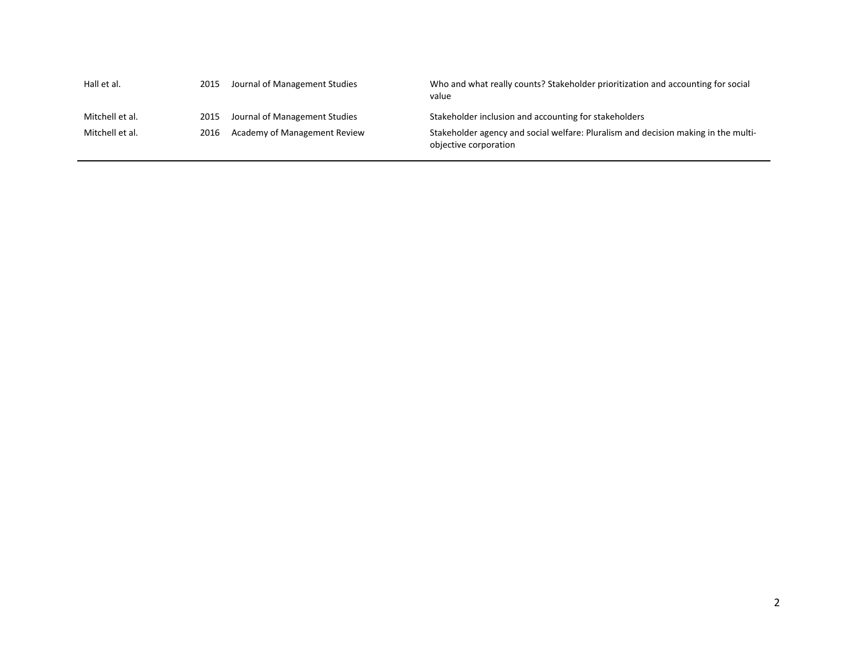| Hall et al.     | 2015 | Journal of Management Studies | Who and what really counts? Stakeholder prioritization and accounting for social<br>value                   |
|-----------------|------|-------------------------------|-------------------------------------------------------------------------------------------------------------|
| Mitchell et al. | 2015 | Journal of Management Studies | Stakeholder inclusion and accounting for stakeholders                                                       |
| Mitchell et al. | 2016 | Academy of Management Review  | Stakeholder agency and social welfare: Pluralism and decision making in the multi-<br>objective corporation |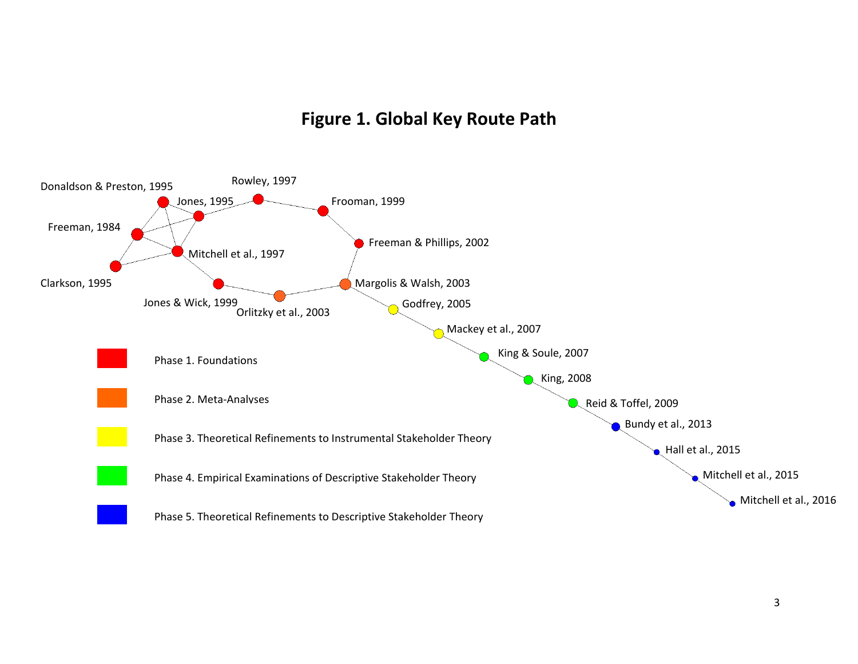# **Figure 1. Global Key Route Path**

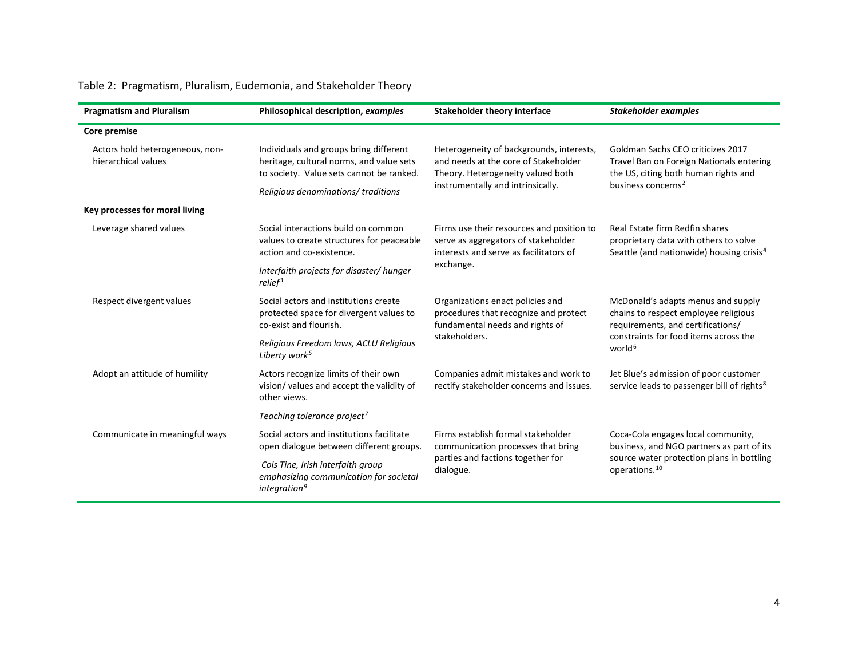| <b>Pragmatism and Pluralism</b>                        | Philosophical description, examples                                                                                            | <b>Stakeholder theory interface</b>                                                                                                                        | <b>Stakeholder examples</b>                                                                                                                                                    |
|--------------------------------------------------------|--------------------------------------------------------------------------------------------------------------------------------|------------------------------------------------------------------------------------------------------------------------------------------------------------|--------------------------------------------------------------------------------------------------------------------------------------------------------------------------------|
| Core premise                                           |                                                                                                                                |                                                                                                                                                            |                                                                                                                                                                                |
| Actors hold heterogeneous, non-<br>hierarchical values | Individuals and groups bring different<br>heritage, cultural norms, and value sets<br>to society. Value sets cannot be ranked. | Heterogeneity of backgrounds, interests,<br>and needs at the core of Stakeholder<br>Theory. Heterogeneity valued both<br>instrumentally and intrinsically. | Goldman Sachs CEO criticizes 2017<br>Travel Ban on Foreign Nationals entering<br>the US, citing both human rights and<br>business concerns <sup>2</sup>                        |
|                                                        | Religious denominations/ traditions                                                                                            |                                                                                                                                                            |                                                                                                                                                                                |
| Key processes for moral living                         |                                                                                                                                |                                                                                                                                                            |                                                                                                                                                                                |
| Leverage shared values                                 | Social interactions build on common<br>values to create structures for peaceable<br>action and co-existence.                   | Firms use their resources and position to<br>serve as aggregators of stakeholder<br>interests and serve as facilitators of<br>exchange.                    | Real Estate firm Redfin shares<br>proprietary data with others to solve<br>Seattle (and nationwide) housing crisis <sup>4</sup>                                                |
|                                                        | Interfaith projects for disaster/hunger<br>relief <sup>3</sup>                                                                 |                                                                                                                                                            |                                                                                                                                                                                |
| Respect divergent values                               | Social actors and institutions create<br>protected space for divergent values to<br>co-exist and flourish.                     | Organizations enact policies and<br>procedures that recognize and protect<br>fundamental needs and rights of<br>stakeholders.                              | McDonald's adapts menus and supply<br>chains to respect employee religious<br>requirements, and certifications/<br>constraints for food items across the<br>world <sup>6</sup> |
|                                                        | Religious Freedom laws, ACLU Religious<br>Liberty work <sup>5</sup>                                                            |                                                                                                                                                            |                                                                                                                                                                                |
| Adopt an attitude of humility                          | Actors recognize limits of their own<br>vision/values and accept the validity of<br>other views.                               | Companies admit mistakes and work to<br>rectify stakeholder concerns and issues.                                                                           | Jet Blue's admission of poor customer<br>service leads to passenger bill of rights <sup>8</sup>                                                                                |
|                                                        | Teaching tolerance project <sup>7</sup>                                                                                        |                                                                                                                                                            |                                                                                                                                                                                |
| Communicate in meaningful ways                         | Social actors and institutions facilitate<br>open dialogue between different groups.                                           | Firms establish formal stakeholder<br>communication processes that bring<br>parties and factions together for<br>dialogue.                                 | Coca-Cola engages local community,<br>business, and NGO partners as part of its<br>source water protection plans in bottling<br>operations. <sup>10</sup>                      |
|                                                        | Cois Tine, Irish interfaith group<br>emphasizing communication for societal<br>integration <sup>9</sup>                        |                                                                                                                                                            |                                                                                                                                                                                |

## Table 2: Pragmatism, Pluralism, Eudemonia, and Stakeholder Theory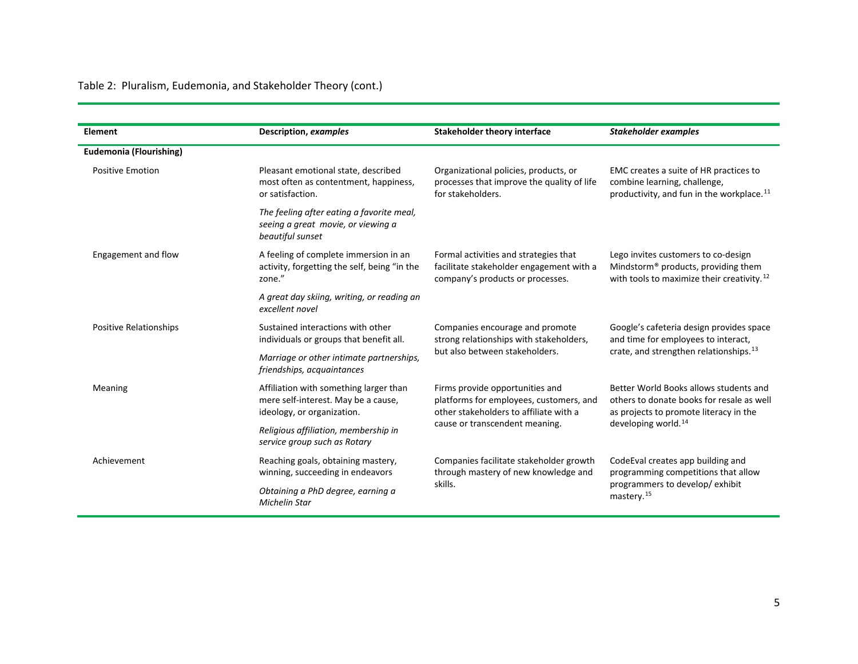# Table 2: Pluralism, Eudemonia, and Stakeholder Theory (cont.)

| Element                        | Description, examples                                                                                       | <b>Stakeholder theory interface</b>                                                                                                                    | <b>Stakeholder examples</b>                                                                                                                                      |
|--------------------------------|-------------------------------------------------------------------------------------------------------------|--------------------------------------------------------------------------------------------------------------------------------------------------------|------------------------------------------------------------------------------------------------------------------------------------------------------------------|
| <b>Eudemonia (Flourishing)</b> |                                                                                                             |                                                                                                                                                        |                                                                                                                                                                  |
| <b>Positive Emotion</b>        | Pleasant emotional state, described<br>most often as contentment, happiness,<br>or satisfaction.            | Organizational policies, products, or<br>processes that improve the quality of life<br>for stakeholders.                                               | EMC creates a suite of HR practices to<br>combine learning, challenge,<br>productivity, and fun in the workplace. <sup>11</sup>                                  |
|                                | The feeling after eating a favorite meal,<br>seeing a great movie, or viewing a<br>beautiful sunset         |                                                                                                                                                        |                                                                                                                                                                  |
| Engagement and flow            | A feeling of complete immersion in an<br>activity, forgetting the self, being "in the<br>zone."             | Formal activities and strategies that<br>facilitate stakeholder engagement with a<br>company's products or processes.                                  | Lego invites customers to co-design<br>Mindstorm <sup>®</sup> products, providing them<br>with tools to maximize their creativity. <sup>12</sup>                 |
|                                | A great day skiing, writing, or reading an<br>excellent novel                                               |                                                                                                                                                        |                                                                                                                                                                  |
| Positive Relationships         | Sustained interactions with other<br>individuals or groups that benefit all.                                | Companies encourage and promote<br>strong relationships with stakeholders,<br>but also between stakeholders.                                           | Google's cafeteria design provides space<br>and time for employees to interact,<br>crate, and strengthen relationships. <sup>13</sup>                            |
|                                | Marriage or other intimate partnerships,<br>friendships, acquaintances                                      |                                                                                                                                                        |                                                                                                                                                                  |
| Meaning                        | Affiliation with something larger than<br>mere self-interest. May be a cause,<br>ideology, or organization. | Firms provide opportunities and<br>platforms for employees, customers, and<br>other stakeholders to affiliate with a<br>cause or transcendent meaning. | Better World Books allows students and<br>others to donate books for resale as well<br>as projects to promote literacy in the<br>developing world. <sup>14</sup> |
|                                | Religious affiliation, membership in<br>service group such as Rotary                                        |                                                                                                                                                        |                                                                                                                                                                  |
| Achievement                    | Reaching goals, obtaining mastery,<br>winning, succeeding in endeavors                                      | Companies facilitate stakeholder growth<br>through mastery of new knowledge and<br>skills.                                                             | CodeEval creates app building and<br>programming competitions that allow<br>programmers to develop/ exhibit<br>mastery. <sup>15</sup>                            |
|                                | Obtaining a PhD degree, earning a<br>Michelin Star                                                          |                                                                                                                                                        |                                                                                                                                                                  |